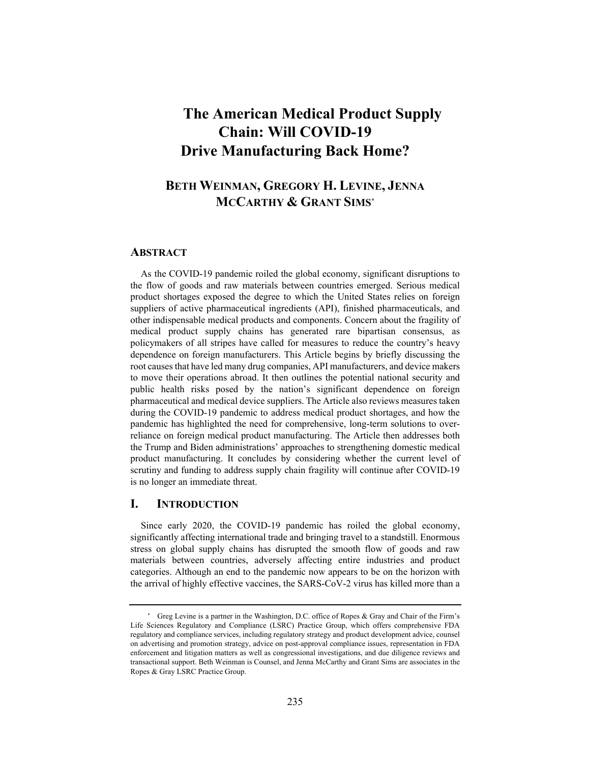# **The American Medical Product Supply Chain: Will COVID-19 Drive Manufacturing Back Home?**

# **BETH WEINMAN, GREGORY H. LEVINE, JENNA MCCARTHY & GRANT SIMS\***

### **ABSTRACT**

As the COVID-19 pandemic roiled the global economy, significant disruptions to the flow of goods and raw materials between countries emerged. Serious medical product shortages exposed the degree to which the United States relies on foreign suppliers of active pharmaceutical ingredients (API), finished pharmaceuticals, and other indispensable medical products and components. Concern about the fragility of medical product supply chains has generated rare bipartisan consensus, as policymakers of all stripes have called for measures to reduce the country's heavy dependence on foreign manufacturers. This Article begins by briefly discussing the root causes that have led many drug companies, API manufacturers, and device makers to move their operations abroad. It then outlines the potential national security and public health risks posed by the nation's significant dependence on foreign pharmaceutical and medical device suppliers. The Article also reviews measures taken during the COVID-19 pandemic to address medical product shortages, and how the pandemic has highlighted the need for comprehensive, long-term solutions to overreliance on foreign medical product manufacturing. The Article then addresses both the Trump and Biden administrations' approaches to strengthening domestic medical product manufacturing. It concludes by considering whether the current level of scrutiny and funding to address supply chain fragility will continue after COVID-19 is no longer an immediate threat.

# **I. INTRODUCTION**

Since early 2020, the COVID-19 pandemic has roiled the global economy, significantly affecting international trade and bringing travel to a standstill. Enormous stress on global supply chains has disrupted the smooth flow of goods and raw materials between countries, adversely affecting entire industries and product categories. Although an end to the pandemic now appears to be on the horizon with the arrival of highly effective vaccines, the SARS-CoV-2 virus has killed more than a

Greg Levine is a partner in the Washington, D.C. office of Ropes & Gray and Chair of the Firm's Life Sciences Regulatory and Compliance (LSRC) Practice Group, which offers comprehensive FDA regulatory and compliance services, including regulatory strategy and product development advice, counsel on advertising and promotion strategy, advice on post-approval compliance issues, representation in FDA enforcement and litigation matters as well as congressional investigations, and due diligence reviews and transactional support. Beth Weinman is Counsel, and Jenna McCarthy and Grant Sims are associates in the Ropes & Gray LSRC Practice Group.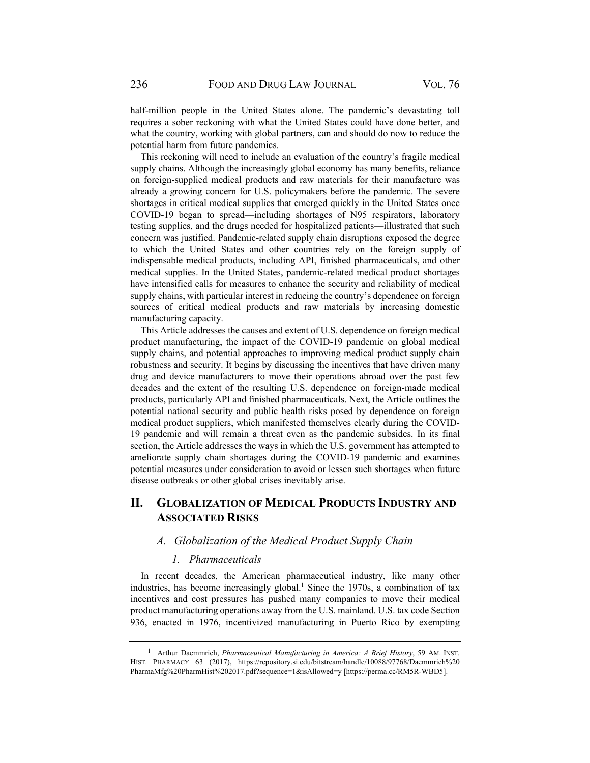half-million people in the United States alone. The pandemic's devastating toll requires a sober reckoning with what the United States could have done better, and what the country, working with global partners, can and should do now to reduce the potential harm from future pandemics.

This reckoning will need to include an evaluation of the country's fragile medical supply chains. Although the increasingly global economy has many benefits, reliance on foreign-supplied medical products and raw materials for their manufacture was already a growing concern for U.S. policymakers before the pandemic. The severe shortages in critical medical supplies that emerged quickly in the United States once COVID-19 began to spread—including shortages of N95 respirators, laboratory testing supplies, and the drugs needed for hospitalized patients—illustrated that such concern was justified. Pandemic-related supply chain disruptions exposed the degree to which the United States and other countries rely on the foreign supply of indispensable medical products, including API, finished pharmaceuticals, and other medical supplies. In the United States, pandemic-related medical product shortages have intensified calls for measures to enhance the security and reliability of medical supply chains, with particular interest in reducing the country's dependence on foreign sources of critical medical products and raw materials by increasing domestic manufacturing capacity.

This Article addresses the causes and extent of U.S. dependence on foreign medical product manufacturing, the impact of the COVID-19 pandemic on global medical supply chains, and potential approaches to improving medical product supply chain robustness and security. It begins by discussing the incentives that have driven many drug and device manufacturers to move their operations abroad over the past few decades and the extent of the resulting U.S. dependence on foreign-made medical products, particularly API and finished pharmaceuticals. Next, the Article outlines the potential national security and public health risks posed by dependence on foreign medical product suppliers, which manifested themselves clearly during the COVID-19 pandemic and will remain a threat even as the pandemic subsides. In its final section, the Article addresses the ways in which the U.S. government has attempted to ameliorate supply chain shortages during the COVID-19 pandemic and examines potential measures under consideration to avoid or lessen such shortages when future disease outbreaks or other global crises inevitably arise.

# **II. GLOBALIZATION OF MEDICAL PRODUCTS INDUSTRY AND ASSOCIATED RISKS**

# *A. Globalization of the Medical Product Supply Chain*

#### *1. Pharmaceuticals*

In recent decades, the American pharmaceutical industry, like many other industries, has become increasingly global.<sup>1</sup> Since the 1970s, a combination of tax incentives and cost pressures has pushed many companies to move their medical product manufacturing operations away from the U.S. mainland. U.S. tax code Section 936, enacted in 1976, incentivized manufacturing in Puerto Rico by exempting

<sup>1</sup> Arthur Daemmrich, *Pharmaceutical Manufacturing in America: A Brief History*, 59 AM. INST. HIST. PHARMACY 63 (2017), https://repository.si.edu/bitstream/handle/10088/97768/Daemmrich%20 PharmaMfg%20PharmHist%202017.pdf?sequence=1&isAllowed=y [https://perma.cc/RM5R-WBD5].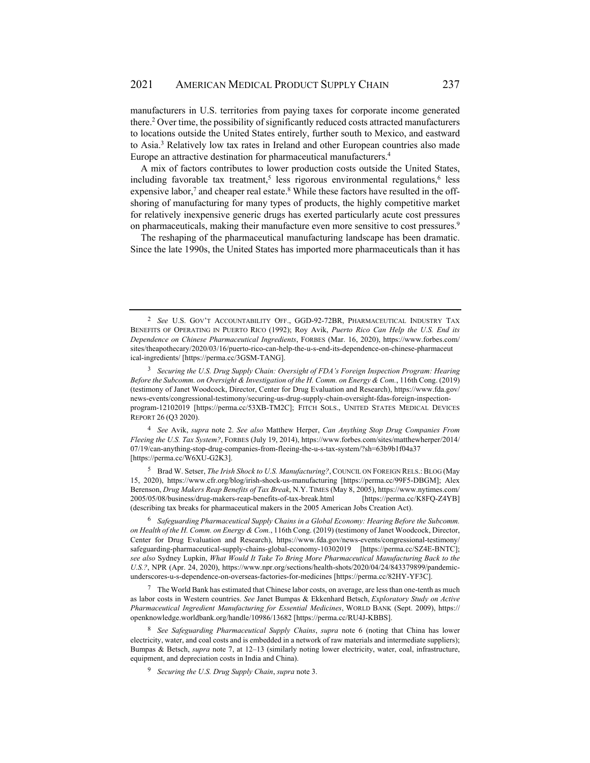manufacturers in U.S. territories from paying taxes for corporate income generated there.<sup>2</sup> Over time, the possibility of significantly reduced costs attracted manufacturers to locations outside the United States entirely, further south to Mexico, and eastward to Asia.<sup>3</sup> Relatively low tax rates in Ireland and other European countries also made Europe an attractive destination for pharmaceutical manufacturers.4

A mix of factors contributes to lower production costs outside the United States, including favorable tax treatment,<sup>5</sup> less rigorous environmental regulations,<sup>6</sup> less expensive labor,<sup>7</sup> and cheaper real estate.<sup>8</sup> While these factors have resulted in the offshoring of manufacturing for many types of products, the highly competitive market for relatively inexpensive generic drugs has exerted particularly acute cost pressures on pharmaceuticals, making their manufacture even more sensitive to cost pressures.<sup>9</sup>

The reshaping of the pharmaceutical manufacturing landscape has been dramatic. Since the late 1990s, the United States has imported more pharmaceuticals than it has

<sup>4</sup> *See* Avik, *supra* note 2. *See also* Matthew Herper, *Can Anything Stop Drug Companies From Fleeing the U.S. Tax System?*, FORBES (July 19, 2014), https://www.forbes.com/sites/matthewherper/2014/ 07/19/can-anything-stop-drug-companies-from-fleeing-the-u-s-tax-system/?sh=63b9b1f04a37 [https://perma.cc/W6XU-G2K3].

5 Brad W. Setser, *The Irish Shock to U.S. Manufacturing?*, COUNCIL ON FOREIGN RELS.: BLOG (May 15, 2020), https://www.cfr.org/blog/irish-shock-us-manufacturing [https://perma.cc/99F5-DBGM]; Alex Berenson, *Drug Makers Reap Benefits of Tax Break*, N.Y. TIMES (May 8, 2005), https://www.nytimes.com/ 2005/05/08/business/drug-makers-reap-benefits-of-tax-break.html [https://perma.cc/K8FQ-Z4YB] (describing tax breaks for pharmaceutical makers in the 2005 American Jobs Creation Act).

<sup>6</sup> *Safeguarding Pharmaceutical Supply Chains in a Global Economy: Hearing Before the Subcomm. on Health of the H. Comm. on Energy & Com.*, 116th Cong. (2019) (testimony of Janet Woodcock, Director, Center for Drug Evaluation and Research), https://www.fda.gov/news-events/congressional-testimony/ safeguarding-pharmaceutical-supply-chains-global-economy-10302019 [https://perma.cc/SZ4E-BNTC]; *see also* Sydney Lupkin, *What Would It Take To Bring More Pharmaceutical Manufacturing Back to the U.S.?*, NPR (Apr. 24, 2020), https://www.npr.org/sections/health-shots/2020/04/24/843379899/pandemicunderscores-u-s-dependence-on-overseas-factories-for-medicines [https://perma.cc/82HY-YF3C].

7 The World Bank has estimated that Chinese labor costs, on average, are less than one-tenth as much as labor costs in Western countries. *See* Janet Bumpas & Ekkenhard Betsch, *Exploratory Study on Active Pharmaceutical Ingredient Manufacturing for Essential Medicines*, WORLD BANK (Sept. 2009), https:// openknowledge.worldbank.org/handle/10986/13682 [https://perma.cc/RU4J-KBBS].

<sup>8</sup> *See Safeguarding Pharmaceutical Supply Chains*, *supra* note 6 (noting that China has lower electricity, water, and coal costs and is embedded in a network of raw materials and intermediate suppliers); Bumpas & Betsch, *supra* note 7, at 12–13 (similarly noting lower electricity, water, coal, infrastructure, equipment, and depreciation costs in India and China).

<sup>9</sup> *Securing the U.S. Drug Supply Chain*, *supra* note 3.

<sup>2</sup> *See* U.S. GOV'T ACCOUNTABILITY OFF., GGD-92-72BR, PHARMACEUTICAL INDUSTRY TAX BENEFITS OF OPERATING IN PUERTO RICO (1992); Roy Avik, *Puerto Rico Can Help the U.S. End its Dependence on Chinese Pharmaceutical Ingredients*, FORBES (Mar. 16, 2020), https://www.forbes.com/ sites/theapothecary/2020/03/16/puerto-rico-can-help-the-u-s-end-its-dependence-on-chinese-pharmaceut ical-ingredients/ [https://perma.cc/3GSM-TANG].

<sup>3</sup> *Securing the U.S. Drug Supply Chain: Oversight of FDA's Foreign Inspection Program: Hearing Before the Subcomm. on Oversight & Investigation of the H. Comm. on Energy & Com.*, 116th Cong. (2019) (testimony of Janet Woodcock, Director, Center for Drug Evaluation and Research), https://www.fda.gov/ news-events/congressional-testimony/securing-us-drug-supply-chain-oversight-fdas-foreign-inspectionprogram-12102019 [https://perma.cc/53XB-TM2C]; FITCH SOLS., UNITED STATES MEDICAL DEVICES REPORT 26 (Q3 2020).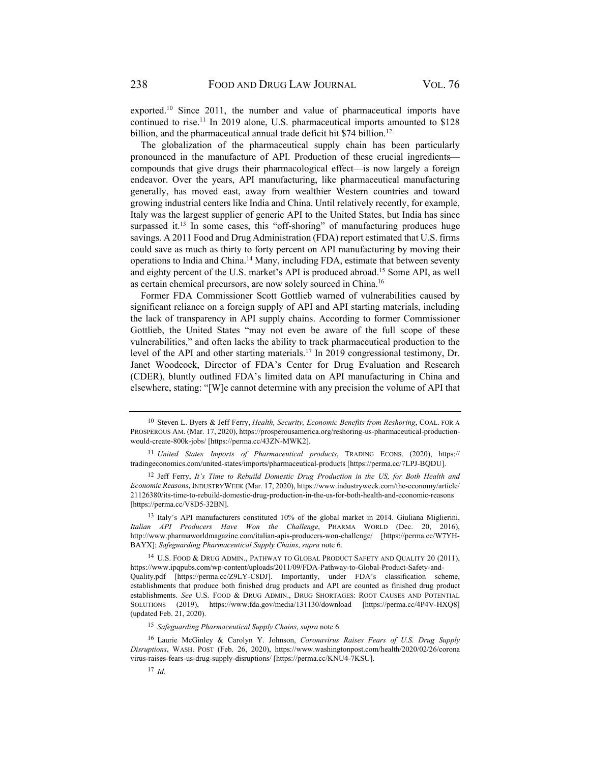exported.<sup>10</sup> Since 2011, the number and value of pharmaceutical imports have continued to rise.<sup>11</sup> In 2019 alone, U.S. pharmaceutical imports amounted to \$128 billion, and the pharmaceutical annual trade deficit hit \$74 billion.<sup>12</sup>

The globalization of the pharmaceutical supply chain has been particularly pronounced in the manufacture of API. Production of these crucial ingredients compounds that give drugs their pharmacological effect—is now largely a foreign endeavor. Over the years, API manufacturing, like pharmaceutical manufacturing generally, has moved east, away from wealthier Western countries and toward growing industrial centers like India and China. Until relatively recently, for example, Italy was the largest supplier of generic API to the United States, but India has since surpassed it.<sup>13</sup> In some cases, this "off-shoring" of manufacturing produces huge savings. A 2011 Food and Drug Administration (FDA) report estimated that U.S. firms could save as much as thirty to forty percent on API manufacturing by moving their operations to India and China.14 Many, including FDA, estimate that between seventy and eighty percent of the U.S. market's API is produced abroad.15 Some API, as well as certain chemical precursors, are now solely sourced in China.16

Former FDA Commissioner Scott Gottlieb warned of vulnerabilities caused by significant reliance on a foreign supply of API and API starting materials, including the lack of transparency in API supply chains. According to former Commissioner Gottlieb, the United States "may not even be aware of the full scope of these vulnerabilities," and often lacks the ability to track pharmaceutical production to the level of the API and other starting materials.17 In 2019 congressional testimony, Dr. Janet Woodcock, Director of FDA's Center for Drug Evaluation and Research (CDER), bluntly outlined FDA's limited data on API manufacturing in China and elsewhere, stating: "[W]e cannot determine with any precision the volume of API that

<sup>15</sup> *Safeguarding Pharmaceutical Supply Chains*, *supra* note 6.

<sup>10</sup> Steven L. Byers & Jeff Ferry, *Health, Security, Economic Benefits from Reshoring*, COAL. FOR A PROSPEROUS AM. (Mar. 17, 2020), https://prosperousamerica.org/reshoring-us-pharmaceutical-productionwould-create-800k-jobs/ [https://perma.cc/43ZN-MWK2].

<sup>11</sup> *United States Imports of Pharmaceutical products*, TRADING ECONS. (2020), https:// tradingeconomics.com/united-states/imports/pharmaceutical-products [https://perma.cc/7LPJ-BQDU].

<sup>12</sup> Jeff Ferry, *It's Time to Rebuild Domestic Drug Production in the US, for Both Health and Economic Reasons*, INDUSTRYWEEK (Mar. 17, 2020), https://www.industryweek.com/the-economy/article/ 21126380/its-time-to-rebuild-domestic-drug-production-in-the-us-for-both-health-and-economic-reasons [https://perma.cc/V8D5-32BN].

<sup>13</sup> Italy's API manufacturers constituted 10% of the global market in 2014. Giuliana Miglierini, *Italian API Producers Have Won the Challenge*, PHARMA WORLD (Dec. 20, 2016), http://www.pharmaworldmagazine.com/italian-apis-producers-won-challenge/ [https://perma.cc/W7YH-BAYX]; *Safeguarding Pharmaceutical Supply Chains*, *supra* note 6.

<sup>14</sup> U.S. FOOD & DRUG ADMIN., PATHWAY TO GLOBAL PRODUCT SAFETY AND QUALITY 20 (2011), https://www.ipqpubs.com/wp-content/uploads/2011/09/FDA-Pathway-to-Global-Product-Safety-and-Quality.pdf [https://perma.cc/Z9LY-C8DJ]. Importantly, under FDA's classification scheme, establishments that produce both finished drug products and API are counted as finished drug product establishments. *See* U.S. FOOD & DRUG ADMIN., DRUG SHORTAGES: ROOT CAUSES AND POTENTIAL SOLUTIONS (2019), https://www.fda.gov/media/131130/download [https://perma.cc/4P4V-HXQ8] (updated Feb. 21, 2020).

<sup>16</sup> Laurie McGinley & Carolyn Y. Johnson, *Coronavirus Raises Fears of U.S. Drug Supply Disruptions*, WASH. POST (Feb. 26, 2020), https://www.washingtonpost.com/health/2020/02/26/corona virus-raises-fears-us-drug-supply-disruptions/ [https://perma.cc/KNU4-7KSU].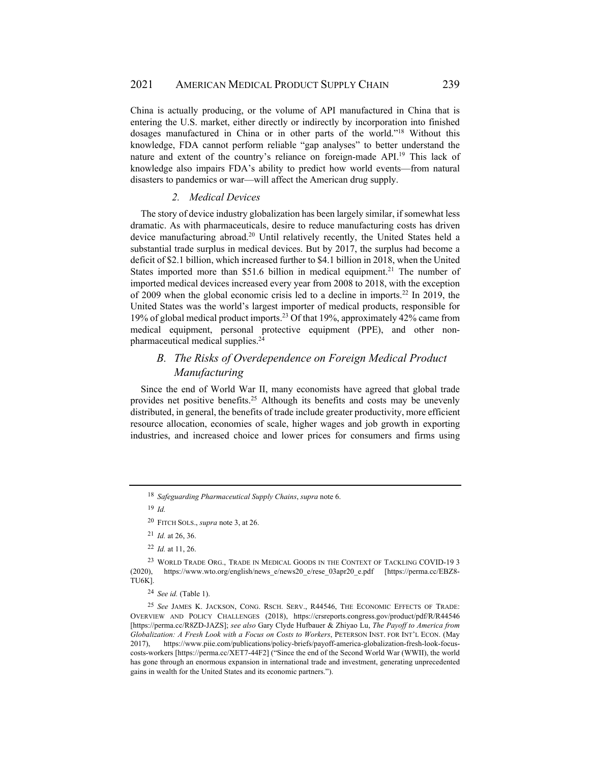China is actually producing, or the volume of API manufactured in China that is entering the U.S. market, either directly or indirectly by incorporation into finished dosages manufactured in China or in other parts of the world."18 Without this knowledge, FDA cannot perform reliable "gap analyses" to better understand the nature and extent of the country's reliance on foreign-made API.<sup>19</sup> This lack of knowledge also impairs FDA's ability to predict how world events—from natural disasters to pandemics or war—will affect the American drug supply.

#### *2. Medical Devices*

The story of device industry globalization has been largely similar, if somewhat less dramatic. As with pharmaceuticals, desire to reduce manufacturing costs has driven device manufacturing abroad.<sup>20</sup> Until relatively recently, the United States held a substantial trade surplus in medical devices. But by 2017, the surplus had become a deficit of \$2.1 billion, which increased further to \$4.1 billion in 2018, when the United States imported more than \$51.6 billion in medical equipment.<sup>21</sup> The number of imported medical devices increased every year from 2008 to 2018, with the exception of 2009 when the global economic crisis led to a decline in imports.22 In 2019, the United States was the world's largest importer of medical products, responsible for 19% of global medical product imports.23 Of that 19%, approximately 42% came from medical equipment, personal protective equipment (PPE), and other nonpharmaceutical medical supplies.24

# *B. The Risks of Overdependence on Foreign Medical Product Manufacturing*

Since the end of World War II, many economists have agreed that global trade provides net positive benefits.25 Although its benefits and costs may be unevenly distributed, in general, the benefits of trade include greater productivity, more efficient resource allocation, economies of scale, higher wages and job growth in exporting industries, and increased choice and lower prices for consumers and firms using

<sup>18</sup> *Safeguarding Pharmaceutical Supply Chains*, *supra* note 6.

<sup>19</sup> *Id.*

<sup>20</sup> FITCH SOLS., *supra* note 3, at 26.

<sup>21</sup> *Id.* at 26, 36.

<sup>22</sup> *Id.* at 11, 26.

<sup>23</sup> WORLD TRADE ORG., TRADE IN MEDICAL GOODS IN THE CONTEXT OF TACKLING COVID-19 3 (2020), https://www.wto.org/english/news\_e/news20\_e/rese\_03apr20\_e.pdf [https://perma.cc/EBZ8- TU6K].

<sup>24</sup> *See id.* (Table 1).

<sup>25</sup> *See* JAMES K. JACKSON, CONG. RSCH. SERV., R44546, THE ECONOMIC EFFECTS OF TRADE: OVERVIEW AND POLICY CHALLENGES (2018), https://crsreports.congress.gov/product/pdf/R/R44546 [https://perma.cc/R8ZD-JAZS]; *see also* Gary Clyde Hufbauer & Zhiyao Lu, *The Payoff to America from Globalization: A Fresh Look with a Focus on Costs to Workers*, PETERSON INST. FOR INT'L ECON. (May 2017), https://www.piie.com/publications/policy-briefs/payoff-america-globalization-fresh-look-focuscosts-workers [https://perma.cc/XET7-44F2] ("Since the end of the Second World War (WWII), the world has gone through an enormous expansion in international trade and investment, generating unprecedented gains in wealth for the United States and its economic partners.").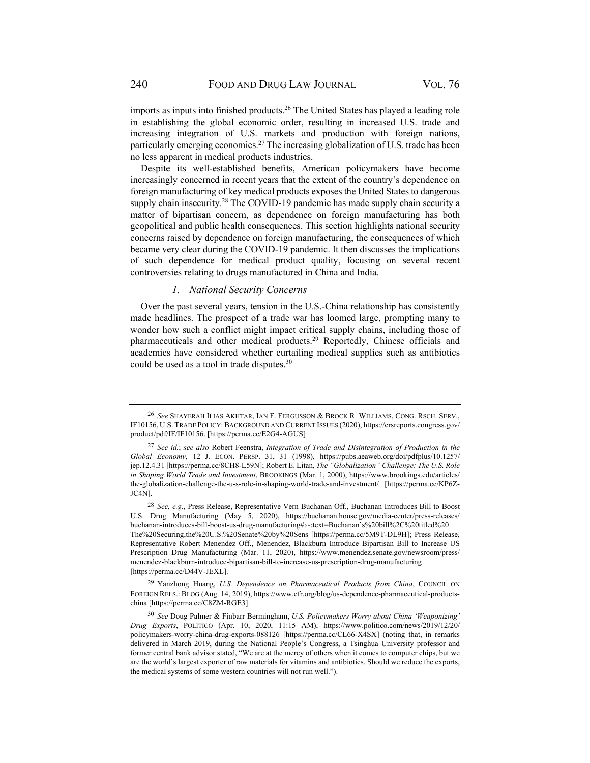imports as inputs into finished products.<sup>26</sup> The United States has played a leading role in establishing the global economic order, resulting in increased U.S. trade and increasing integration of U.S. markets and production with foreign nations, particularly emerging economies.<sup>27</sup> The increasing globalization of U.S. trade has been no less apparent in medical products industries.

Despite its well-established benefits, American policymakers have become increasingly concerned in recent years that the extent of the country's dependence on foreign manufacturing of key medical products exposes the United States to dangerous supply chain insecurity.<sup>28</sup> The COVID-19 pandemic has made supply chain security a matter of bipartisan concern, as dependence on foreign manufacturing has both geopolitical and public health consequences. This section highlights national security concerns raised by dependence on foreign manufacturing, the consequences of which became very clear during the COVID-19 pandemic. It then discusses the implications of such dependence for medical product quality, focusing on several recent controversies relating to drugs manufactured in China and India.

#### *1. National Security Concerns*

Over the past several years, tension in the U.S.-China relationship has consistently made headlines. The prospect of a trade war has loomed large, prompting many to wonder how such a conflict might impact critical supply chains, including those of pharmaceuticals and other medical products.29 Reportedly, Chinese officials and academics have considered whether curtailing medical supplies such as antibiotics could be used as a tool in trade disputes.30

<sup>26</sup> *See* SHAYERAH ILIAS AKHTAR, IAN F. FERGUSSON & BROCK R. WILLIAMS, CONG. RSCH. SERV., IF10156, U.S. TRADE POLICY:BACKGROUND AND CURRENT ISSUES (2020), https://crsreports.congress.gov/ product/pdf/IF/IF10156. [https://perma.cc/E2G4-AGUS]

<sup>27</sup> *See id.*; *see also* Robert Feenstra, *Integration of Trade and Disintegration of Production in the Global Economy*, 12 J. ECON. PERSP. 31, 31 (1998), https://pubs.aeaweb.org/doi/pdfplus/10.1257/ jep.12.4.31 [https://perma.cc/8CH8-L59N]; Robert E. Litan, *The "Globalization" Challenge: The U.S. Role in Shaping World Trade and Investment*, BROOKINGS (Mar. 1, 2000), https://www.brookings.edu/articles/ the-globalization-challenge-the-u-s-role-in-shaping-world-trade-and-investment/ [https://perma.cc/KP6Z-JC4N].

<sup>28</sup> *See, e.g.*, Press Release, Representative Vern Buchanan Off., Buchanan Introduces Bill to Boost U.S. Drug Manufacturing (May 5, 2020), https://buchanan.house.gov/media-center/press-releases/ buchanan-introduces-bill-boost-us-drug-manufacturing#:~:text=Buchanan's%20bill%2C%20titled%20 The%20Securing,the%20U.S.%20Senate%20by%20Sens [https://perma.cc/5M9T-DL9H]; Press Release, Representative Robert Menendez Off., Menendez, Blackburn Introduce Bipartisan Bill to Increase US Prescription Drug Manufacturing (Mar. 11, 2020), https://www.menendez.senate.gov/newsroom/press/ menendez-blackburn-introduce-bipartisan-bill-to-increase-us-prescription-drug-manufacturing [https://perma.cc/D44V-JEXL].

<sup>29</sup> Yanzhong Huang, *U.S. Dependence on Pharmaceutical Products from China*, COUNCIL ON FOREIGN RELS.: BLOG (Aug. 14, 2019), https://www.cfr.org/blog/us-dependence-pharmaceutical-productschina [https://perma.cc/C8ZM-RGE3].

<sup>30</sup> *See* Doug Palmer & Finbarr Bermingham, *U.S. Policymakers Worry about China 'Weaponizing' Drug Exports*, POLITICO (Apr. 10, 2020, 11:15 AM), https://www.politico.com/news/2019/12/20/ policymakers-worry-china-drug-exports-088126 [https://perma.cc/CL66-X4SX] (noting that, in remarks delivered in March 2019, during the National People's Congress, a Tsinghua University professor and former central bank advisor stated, "We are at the mercy of others when it comes to computer chips, but we are the world's largest exporter of raw materials for vitamins and antibiotics. Should we reduce the exports, the medical systems of some western countries will not run well.").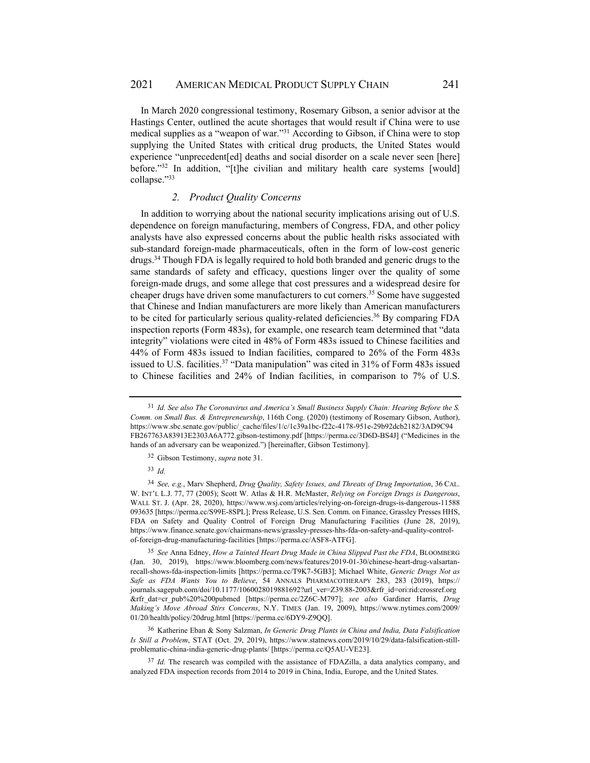In March 2020 congressional testimony, Rosemary Gibson, a senior advisor at the Hastings Center, outlined the acute shortages that would result if China were to use medical supplies as a "weapon of war."31 According to Gibson, if China were to stop supplying the United States with critical drug products, the United States would experience "unprecedent[ed] deaths and social disorder on a scale never seen [here] before. $132$  In addition, "[t]he civilian and military health care systems [would] collapse."33

### *2. Product Quality Concerns*

In addition to worrying about the national security implications arising out of U.S. dependence on foreign manufacturing, members of Congress, FDA, and other policy analysts have also expressed concerns about the public health risks associated with sub-standard foreign-made pharmaceuticals, often in the form of low-cost generic drugs.34 Though FDA is legally required to hold both branded and generic drugs to the same standards of safety and efficacy, questions linger over the quality of some foreign-made drugs, and some allege that cost pressures and a widespread desire for cheaper drugs have driven some manufacturers to cut corners.35 Some have suggested that Chinese and Indian manufacturers are more likely than American manufacturers to be cited for particularly serious quality-related deficiencies.36 By comparing FDA inspection reports (Form 483s), for example, one research team determined that "data integrity" violations were cited in 48% of Form 483s issued to Chinese facilities and 44% of Form 483s issued to Indian facilities, compared to 26% of the Form 483s issued to U.S. facilities.<sup>37</sup> "Data manipulation" was cited in 31% of Form 483s issued to Chinese facilities and 24% of Indian facilities, in comparison to 7% of U.S.

36 Katherine Eban & Sony Salzman, *In Generic Drug Plants in China and India, Data Falsification Is Still a Problem*, STAT (Oct. 29, 2019), https://www.statnews.com/2019/10/29/data-falsification-stillproblematic-china-india-generic-drug-plants/ [https://perma.cc/Q5AU-VE23].

<sup>37</sup> *Id.* The research was compiled with the assistance of FDAZilla, a data analytics company, and analyzed FDA inspection records from 2014 to 2019 in China, India, Europe, and the United States.

<sup>31</sup> *Id. See also The Coronavirus and America's Small Business Supply Chain: Hearing Before the S. Comm. on Small Bus. & Entrepreneurship*, 116th Cong. (2020) (testimony of Rosemary Gibson, Author), https://www.sbc.senate.gov/public/\_cache/files/1/c/1c39a1bc-f22c-4178-951e-29b92dcb2182/3AD9C94 FB267763A83913E2303A6A772.gibson-testimony.pdf [https://perma.cc/3D6D-BS4J] ("Medicines in the hands of an adversary can be weaponized.") [hereinafter, Gibson Testimony].

<sup>32</sup> Gibson Testimony, *supra* note 31.

<sup>33</sup> *Id.*

<sup>34</sup> *See, e.g.*, Marv Shepherd, *Drug Quality, Safety Issues, and Threats of Drug Importation*, 36 CAL. W. INT'L L.J. 77, 77 (2005); Scott W. Atlas & H.R. McMaster, *Relying on Foreign Drugs is Dangerous*, WALL ST. J. (Apr. 28, 2020), https://www.wsj.com/articles/relying-on-foreign-drugs-is-dangerous-11588 093635 [https://perma.cc/S99E-8SPL]; Press Release, U.S. Sen. Comm. on Finance, Grassley Presses HHS, FDA on Safety and Quality Control of Foreign Drug Manufacturing Facilities (June 28, 2019), https://www.finance.senate.gov/chairmans-news/grassley-presses-hhs-fda-on-safety-and-quality-controlof-foreign-drug-manufacturing-facilities [https://perma.cc/ASF8-ATFG].

<sup>35</sup> *See* Anna Edney, *How a Tainted Heart Drug Made in China Slipped Past the FDA*, BLOOMBERG (Jan. 30, 2019), https://www.bloomberg.com/news/features/2019-01-30/chinese-heart-drug-valsartanrecall-shows-fda-inspection-limits [https://perma.cc/T9K7-5GB3]; Michael White, *Generic Drugs Not as Safe as FDA Wants You to Believe*, 54 ANNALS PHARMACOTHERAPY 283, 283 (2019), https:// journals.sagepub.com/doi/10.1177/1060028019881692?url\_ver=Z39.88-2003&rfr\_id=ori:rid:crossref.org &rfr\_dat=cr\_pub%20%200pubmed [https://perma.cc/2Z6C-M797]; *see also* Gardiner Harris, *Drug Making's Move Abroad Stirs Concerns*, N.Y. TIMES (Jan. 19, 2009), https://www.nytimes.com/2009/ 01/20/health/policy/20drug.html [https://perma.cc/6DY9-Z9QQ].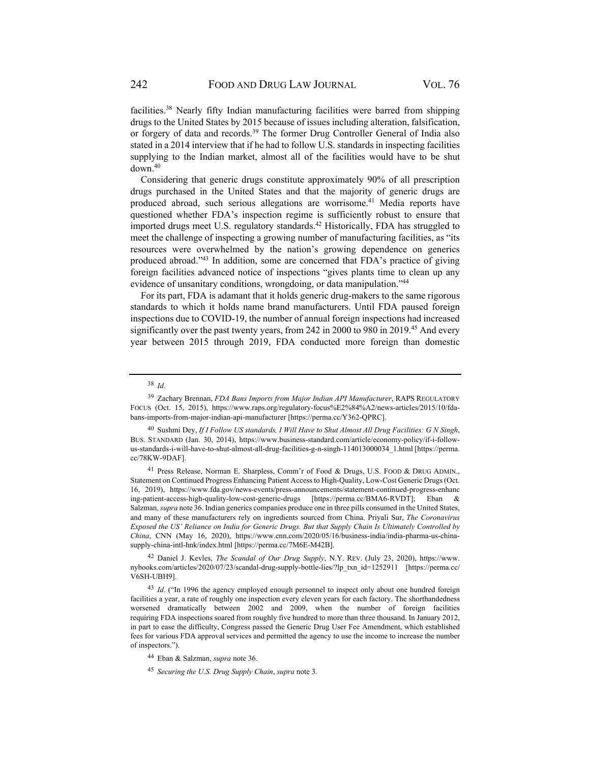facilities.38 Nearly fifty Indian manufacturing facilities were barred from shipping drugs to the United States by 2015 because of issues including alteration, falsification, or forgery of data and records.<sup>39</sup> The former Drug Controller General of India also stated in a 2014 interview that if he had to follow U.S. standards in inspecting facilities supplying to the Indian market, almost all of the facilities would have to be shut down.40

Considering that generic drugs constitute approximately 90% of all prescription drugs purchased in the United States and that the majority of generic drugs are produced abroad, such serious allegations are worrisome.<sup>41</sup> Media reports have questioned whether FDA's inspection regime is sufficiently robust to ensure that imported drugs meet U.S. regulatory standards.<sup>42</sup> Historically, FDA has struggled to meet the challenge of inspecting a growing number of manufacturing facilities, as "its resources were overwhelmed by the nation's growing dependence on generics produced abroad."43 In addition, some are concerned that FDA's practice of giving foreign facilities advanced notice of inspections "gives plants time to clean up any evidence of unsanitary conditions, wrongdoing, or data manipulation."44

For its part, FDA is adamant that it holds generic drug-makers to the same rigorous standards to which it holds name brand manufacturers. Until FDA paused foreign inspections due to COVID-19, the number of annual foreign inspections had increased significantly over the past twenty years, from 242 in 2000 to 980 in 2019.<sup>45</sup> And every year between 2015 through 2019, FDA conducted more foreign than domestic

41 Press Release, Norman E. Sharpless, Comm'r of Food & Drugs, U.S. FOOD & DRUG ADMIN., Statement on Continued Progress Enhancing Patient Access to High-Quality, Low-Cost Generic Drugs (Oct. 16, 2019), https://www.fda.gov/news-events/press-announcements/statement-continued-progress-enhanc ing-patient-access-high-quality-low-cost-generic-drugs [https://perma.cc/BMA6-RVDT]; Eban & Salzman, *supra* note 36. Indian generics companies produce one in three pills consumed in the United States, and many of these manufacturers rely on ingredients sourced from China. Priyali Sur, *The Coronavirus Exposed the US' Reliance on India for Generic Drugs. But that Supply Chain Is Ultimately Controlled by China*, CNN (May 16, 2020), https://www.cnn.com/2020/05/16/business-india/india-pharma-us-chinasupply-china-intl-hnk/index.html [https://perma.cc/7M6E-M42B].

42 Daniel J. Kevles, *The Scandal of Our Drug Supply*, N.Y. REV. (July 23, 2020), https://www. nybooks.com/articles/2020/07/23/scandal-drug-supply-bottle-lies/?lp\_txn\_id=1252911 [https://perma.cc/ V6SH-UBH9].

<sup>43</sup> *Id.* ("In 1996 the agency employed enough personnel to inspect only about one hundred foreign facilities a year, a rate of roughly one inspection every eleven years for each factory. The shorthandedness worsened dramatically between 2002 and 2009, when the number of foreign facilities requiring FDA inspections soared from roughly five hundred to more than three thousand. In January 2012, in part to ease the difficulty, Congress passed the Generic Drug User Fee Amendment, which established fees for various FDA approval services and permitted the agency to use the income to increase the number of inspectors.").

<sup>38</sup> *Id.*

<sup>39</sup> Zachary Brennan, *FDA Bans Imports from Major Indian API Manufacturer*, RAPS REGULATORY FOCUS (Oct. 15, 2015), https://www.raps.org/regulatory-focus%E2%84%A2/news-articles/2015/10/fdabans-imports-from-major-indian-api-manufacturer [https://perma.cc/Y362-QPRC].

<sup>40</sup> Sushmi Dey, *If I Follow US standards, I Will Have to Shut Almost All Drug Facilities: G N Singh*, BUS. STANDARD (Jan. 30, 2014), https://www.business-standard.com/article/economy-policy/if-i-followus-standards-i-will-have-to-shut-almost-all-drug-facilities-g-n-singh-114013000034\_1.html [https://perma. cc/78KW-9DAF].

<sup>44</sup> Eban & Salzman, *supra* note 36.

<sup>45</sup> *Securing the U.S. Drug Supply Chain*, *supra* note 3.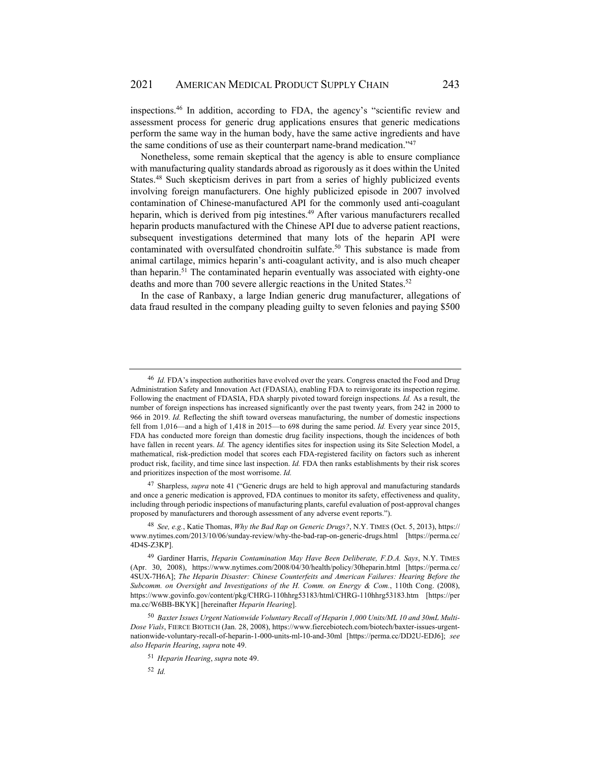inspections.46 In addition, according to FDA, the agency's "scientific review and assessment process for generic drug applications ensures that generic medications perform the same way in the human body, have the same active ingredients and have the same conditions of use as their counterpart name-brand medication."47

Nonetheless, some remain skeptical that the agency is able to ensure compliance with manufacturing quality standards abroad as rigorously as it does within the United States.48 Such skepticism derives in part from a series of highly publicized events involving foreign manufacturers. One highly publicized episode in 2007 involved contamination of Chinese-manufactured API for the commonly used anti-coagulant heparin, which is derived from pig intestines.<sup>49</sup> After various manufacturers recalled heparin products manufactured with the Chinese API due to adverse patient reactions, subsequent investigations determined that many lots of the heparin API were contaminated with oversulfated chondroitin sulfate.<sup>50</sup> This substance is made from animal cartilage, mimics heparin's anti-coagulant activity, and is also much cheaper than heparin.51 The contaminated heparin eventually was associated with eighty-one deaths and more than 700 severe allergic reactions in the United States.<sup>52</sup>

In the case of Ranbaxy, a large Indian generic drug manufacturer, allegations of data fraud resulted in the company pleading guilty to seven felonies and paying \$500

47 Sharpless, *supra* note 41 ("Generic drugs are held to high approval and manufacturing standards and once a generic medication is approved, FDA continues to monitor its safety, effectiveness and quality, including through periodic inspections of manufacturing plants, careful evaluation of post-approval changes proposed by manufacturers and thorough assessment of any adverse event reports.").

<sup>48</sup> *See, e.g.*, Katie Thomas, *Why the Bad Rap on Generic Drugs?*, N.Y. TIMES (Oct. 5, 2013), https:// www.nytimes.com/2013/10/06/sunday-review/why-the-bad-rap-on-generic-drugs.html [https://perma.cc/ 4D4S-Z3KP].

<sup>50</sup> *Baxter Issues Urgent Nationwide Voluntary Recall of Heparin 1,000 Units/ML 10 and 30mL Multi-Dose Vials*, FIERCE BIOTECH (Jan. 28, 2008), https://www.fiercebiotech.com/biotech/baxter-issues-urgentnationwide-voluntary-recall-of-heparin-1-000-units-ml-10-and-30ml [https://perma.cc/DD2U-EDJ6]; *see also Heparin Hearing*, *supra* note 49.

<sup>52</sup> *Id.*

<sup>46</sup> *Id.* FDA's inspection authorities have evolved over the years. Congress enacted the Food and Drug Administration Safety and Innovation Act (FDASIA), enabling FDA to reinvigorate its inspection regime. Following the enactment of FDASIA, FDA sharply pivoted toward foreign inspections. *Id.* As a result, the number of foreign inspections has increased significantly over the past twenty years, from 242 in 2000 to 966 in 2019. *Id.* Reflecting the shift toward overseas manufacturing, the number of domestic inspections fell from 1,016—and a high of 1,418 in 2015—to 698 during the same period. *Id.* Every year since 2015, FDA has conducted more foreign than domestic drug facility inspections, though the incidences of both have fallen in recent years. *Id.* The agency identifies sites for inspection using its Site Selection Model, a mathematical, risk-prediction model that scores each FDA-registered facility on factors such as inherent product risk, facility, and time since last inspection. *Id.* FDA then ranks establishments by their risk scores and prioritizes inspection of the most worrisome. *Id.*

<sup>49</sup> Gardiner Harris, *Heparin Contamination May Have Been Deliberate, F.D.A. Says*, N.Y. TIMES (Apr. 30, 2008), https://www.nytimes.com/2008/04/30/health/policy/30heparin.html [https://perma.cc/ 4SUX-7H6A]; *The Heparin Disaster: Chinese Counterfeits and American Failures: Hearing Before the Subcomm. on Oversight and Investigations of the H. Comm. on Energy & Com.*, 110th Cong. (2008), https://www.govinfo.gov/content/pkg/CHRG-110hhrg53183/html/CHRG-110hhrg53183.htm [https://per ma.cc/W6BB-BKYK] [hereinafter *Heparin Hearing*].

<sup>51</sup> *Heparin Hearing*, *supra* note 49.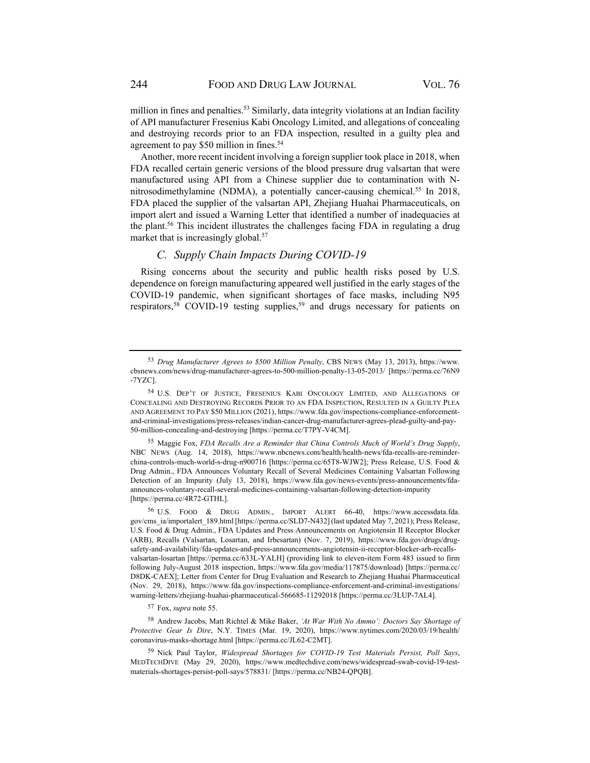million in fines and penalties.<sup>53</sup> Similarly, data integrity violations at an Indian facility of API manufacturer Fresenius Kabi Oncology Limited, and allegations of concealing and destroying records prior to an FDA inspection, resulted in a guilty plea and agreement to pay \$50 million in fines.<sup>54</sup>

Another, more recent incident involving a foreign supplier took place in 2018, when FDA recalled certain generic versions of the blood pressure drug valsartan that were manufactured using API from a Chinese supplier due to contamination with Nnitrosodimethylamine (NDMA), a potentially cancer-causing chemical.<sup>55</sup> In 2018, FDA placed the supplier of the valsartan API, Zhejiang Huahai Pharmaceuticals, on import alert and issued a Warning Letter that identified a number of inadequacies at the plant.<sup>56</sup> This incident illustrates the challenges facing FDA in regulating a drug market that is increasingly global.<sup>57</sup>

### *C. Supply Chain Impacts During COVID-19*

Rising concerns about the security and public health risks posed by U.S. dependence on foreign manufacturing appeared well justified in the early stages of the COVID-19 pandemic, when significant shortages of face masks, including N95 respirators,<sup>58</sup> COVID-19 testing supplies,<sup>59</sup> and drugs necessary for patients on

55 Maggie Fox, *FDA Recalls Are a Reminder that China Controls Much of World's Drug Supply*, NBC NEWS (Aug. 14, 2018), https://www.nbcnews.com/health/health-news/fda-recalls-are-reminderchina-controls-much-world-s-drug-n900716 [https://perma.cc/65T8-WJW2]; Press Release, U.S. Food & Drug Admin., FDA Announces Voluntary Recall of Several Medicines Containing Valsartan Following Detection of an Impurity (July 13, 2018), https://www.fda.gov/news-events/press-announcements/fdaannounces-voluntary-recall-several-medicines-containing-valsartan-following-detection-impurity [https://perma.cc/4R72-GTHL].

57 Fox, *supra* note 55.

58 Andrew Jacobs, Matt Richtel & Mike Baker, *'At War With No Ammo': Doctors Say Shortage of Protective Gear Is Dire*, N.Y. TIMES (Mar. 19, 2020), https://www.nytimes.com/2020/03/19/health/ coronavirus-masks-shortage.html [https://perma.cc/JL62-C2MT].

59 Nick Paul Taylor, *Widespread Shortages for COVID-19 Test Materials Persist, Poll Says*, MEDTECHDIVE (May 29, 2020), https://www.medtechdive.com/news/widespread-swab-covid-19-testmaterials-shortages-persist-poll-says/578831/ [https://perma.cc/NB24-QPQB].

<sup>53</sup> *Drug Manufacturer Agrees to \$500 Million Penalty*, CBS NEWS (May 13, 2013), https://www. cbsnews.com/news/drug-manufacturer-agrees-to-500-million-penalty-13-05-2013/ [https://perma.cc/76N9 -7YZC].

<sup>54</sup> U.S. DEP'T OF JUSTICE, FRESENIUS KABI ONCOLOGY LIMITED, AND ALLEGATIONS OF CONCEALING AND DESTROYING RECORDS PRIOR TO AN FDA INSPECTION, RESULTED IN A GUILTY PLEA AND AGREEMENT TO PAY \$50 MILLION (2021), https://www.fda.gov/inspections-compliance-enforcementand-criminal-investigations/press-releases/indian-cancer-drug-manufacturer-agrees-plead-guilty-and-pay-50-million-concealing-and-destroying [https://perma.cc/T7PY-V4CM].

<sup>56</sup> U.S. FOOD & DRUG ADMIN., IMPORT ALERT 66-40, https://www.accessdata.fda. gov/cms\_ia/importalert\_189.html [https://perma.cc/SLD7-N432] (last updated May 7, 2021); Press Release, U.S. Food & Drug Admin., FDA Updates and Press Announcements on Angiotensin II Receptor Blocker (ARB), Recalls (Valsartan, Losartan, and Irbesartan) (Nov. 7, 2019), https://www.fda.gov/drugs/drugsafety-and-availability/fda-updates-and-press-announcements-angiotensin-ii-receptor-blocker-arb-recallsvalsartan-losartan [https://perma.cc/633L-YALH] (providing link to eleven-item Form 483 issued to firm following July-August 2018 inspection, https://www.fda.gov/media/117875/download) [https://perma.cc/ D8DK-CAEX]; Letter from Center for Drug Evaluation and Research to Zhejiang Huahai Pharmaceutical (Nov. 29, 2018), https://www.fda.gov/inspections-compliance-enforcement-and-criminal-investigations/ warning-letters/zhejiang-huahai-pharmaceutical-566685-11292018 [https://perma.cc/3LUP-7AL4].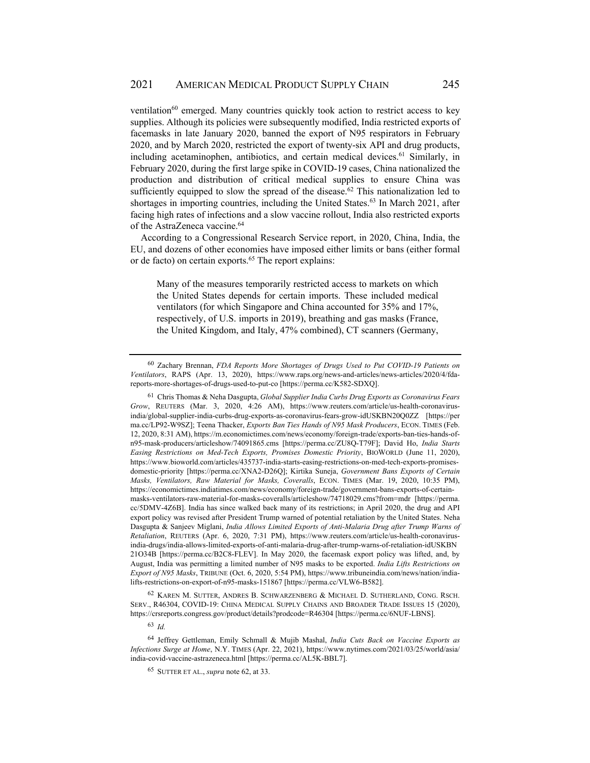ventilation $^{60}$  emerged. Many countries quickly took action to restrict access to key supplies. Although its policies were subsequently modified, India restricted exports of facemasks in late January 2020, banned the export of N95 respirators in February 2020, and by March 2020, restricted the export of twenty-six API and drug products, including acetaminophen, antibiotics, and certain medical devices.<sup>61</sup> Similarly, in February 2020, during the first large spike in COVID-19 cases, China nationalized the production and distribution of critical medical supplies to ensure China was sufficiently equipped to slow the spread of the disease.<sup>62</sup> This nationalization led to shortages in importing countries, including the United States.<sup>63</sup> In March 2021, after facing high rates of infections and a slow vaccine rollout, India also restricted exports of the AstraZeneca vaccine.<sup>64</sup>

According to a Congressional Research Service report, in 2020, China, India, the EU, and dozens of other economies have imposed either limits or bans (either formal or de facto) on certain exports.<sup>65</sup> The report explains:

Many of the measures temporarily restricted access to markets on which the United States depends for certain imports. These included medical ventilators (for which Singapore and China accounted for 35% and 17%, respectively, of U.S. imports in 2019), breathing and gas masks (France, the United Kingdom, and Italy, 47% combined), CT scanners (Germany,

62 KAREN M. SUTTER, ANDRES B. SCHWARZENBERG & MICHAEL D. SUTHERLAND, CONG. RSCH. SERV., R46304, COVID-19: CHINA MEDICAL SUPPLY CHAINS AND BROADER TRADE ISSUES 15 (2020), https://crsreports.congress.gov/product/details?prodcode=R46304 [https://perma.cc/6NUF-LBNS].

<sup>63</sup> *Id.*

64 Jeffrey Gettleman, Emily Schmall & Mujib Mashal, *India Cuts Back on Vaccine Exports as Infections Surge at Home*, N.Y. TIMES (Apr. 22, 2021), https://www.nytimes.com/2021/03/25/world/asia/ india-covid-vaccine-astrazeneca.html [https://perma.cc/AL5K-BBL7].

<sup>60</sup> Zachary Brennan, *FDA Reports More Shortages of Drugs Used to Put COVID-19 Patients on Ventilators*, RAPS (Apr. 13, 2020), https://www.raps.org/news-and-articles/news-articles/2020/4/fdareports-more-shortages-of-drugs-used-to-put-co [https://perma.cc/K582-SDXQ].

<sup>61</sup> Chris Thomas & Neha Dasgupta, *Global Supplier India Curbs Drug Exports as Coronavirus Fears Grow*, REUTERS (Mar. 3, 2020, 4:26 AM), https://www.reuters.com/article/us-health-coronavirusindia/global-supplier-india-curbs-drug-exports-as-coronavirus-fears-grow-idUSKBN20Q0ZZ [https://per ma.cc/LP92-W9SZ]; Teena Thacker, *Exports Ban Ties Hands of N95 Mask Producers*, ECON. TIMES (Feb. 12, 2020, 8:31 AM), https://m.economictimes.com/news/economy/foreign-trade/exports-ban-ties-hands-ofn95-mask-producers/articleshow/74091865.cms [https://perma.cc/ZU8Q-T79F]; David Ho, *India Starts Easing Restrictions on Med-Tech Exports, Promises Domestic Priority*, BIOWORLD (June 11, 2020), https://www.bioworld.com/articles/435737-india-starts-easing-restrictions-on-med-tech-exports-promisesdomestic-priority [https://perma.cc/XNA2-D26Q]; Kirtika Suneja, *Government Bans Exports of Certain Masks, Ventilators, Raw Material for Masks, Coveralls*, ECON. TIMES (Mar. 19, 2020, 10:35 PM), https://economictimes.indiatimes.com/news/economy/foreign-trade/government-bans-exports-of-certainmasks-ventilators-raw-material-for-masks-coveralls/articleshow/74718029.cms?from=mdr [https://perma. cc/5DMV-4Z6B]. India has since walked back many of its restrictions; in April 2020, the drug and API export policy was revised after President Trump warned of potential retaliation by the United States. Neha Dasgupta & Sanjeev Miglani, *India Allows Limited Exports of Anti-Malaria Drug after Trump Warns of Retaliation*, REUTERS (Apr. 6, 2020, 7:31 PM), https://www.reuters.com/article/us-health-coronavirusindia-drugs/india-allows-limited-exports-of-anti-malaria-drug-after-trump-warns-of-retaliation-idUSKBN 21O34B [https://perma.cc/B2C8-FLEV]. In May 2020, the facemask export policy was lifted, and, by August, India was permitting a limited number of N95 masks to be exported. *India Lifts Restrictions on Export of N95 Masks*, TRIBUNE (Oct. 6, 2020, 5:54 PM), https://www.tribuneindia.com/news/nation/indialifts-restrictions-on-export-of-n95-masks-151867 [https://perma.cc/VLW6-B582].

<sup>65</sup> SUTTER ET AL., *supra* note 62, at 33.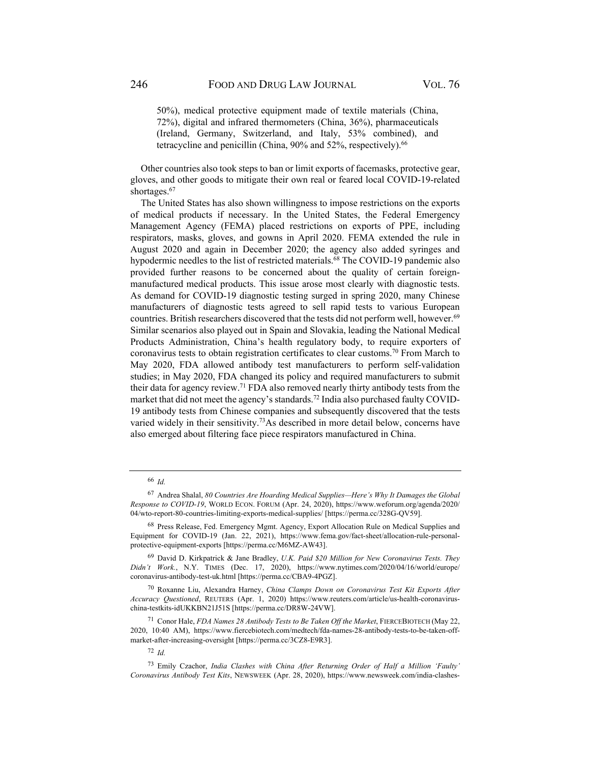50%), medical protective equipment made of textile materials (China, 72%), digital and infrared thermometers (China, 36%), pharmaceuticals (Ireland, Germany, Switzerland, and Italy, 53% combined), and tetracycline and penicillin (China,  $90\%$  and  $52\%$ , respectively).<sup>66</sup>

Other countries also took steps to ban or limit exports of facemasks, protective gear, gloves, and other goods to mitigate their own real or feared local COVID-19-related shortages.<sup>67</sup>

The United States has also shown willingness to impose restrictions on the exports of medical products if necessary. In the United States, the Federal Emergency Management Agency (FEMA) placed restrictions on exports of PPE, including respirators, masks, gloves, and gowns in April 2020. FEMA extended the rule in August 2020 and again in December 2020; the agency also added syringes and hypodermic needles to the list of restricted materials.<sup>68</sup> The COVID-19 pandemic also provided further reasons to be concerned about the quality of certain foreignmanufactured medical products. This issue arose most clearly with diagnostic tests. As demand for COVID-19 diagnostic testing surged in spring 2020, many Chinese manufacturers of diagnostic tests agreed to sell rapid tests to various European countries. British researchers discovered that the tests did not perform well, however.<sup>69</sup> Similar scenarios also played out in Spain and Slovakia, leading the National Medical Products Administration, China's health regulatory body, to require exporters of coronavirus tests to obtain registration certificates to clear customs.70 From March to May 2020, FDA allowed antibody test manufacturers to perform self-validation studies; in May 2020, FDA changed its policy and required manufacturers to submit their data for agency review.<sup>71</sup> FDA also removed nearly thirty antibody tests from the market that did not meet the agency's standards.<sup>72</sup> India also purchased faulty COVID-19 antibody tests from Chinese companies and subsequently discovered that the tests varied widely in their sensitivity.<sup>73</sup>As described in more detail below, concerns have also emerged about filtering face piece respirators manufactured in China.

<sup>72</sup> *Id.*

<sup>66</sup> *Id.* 

<sup>67</sup> Andrea Shalal, *80 Countries Are Hoarding Medical Supplies—Here's Why It Damages the Global Response to COVID-19*, WORLD ECON. FORUM (Apr. 24, 2020), https://www.weforum.org/agenda/2020/ 04/wto-report-80-countries-limiting-exports-medical-supplies/ [https://perma.cc/328G-QV59].

<sup>&</sup>lt;sup>68</sup> Press Release, Fed. Emergency Mgmt. Agency, Export Allocation Rule on Medical Supplies and Equipment for COVID-19 (Jan. 22, 2021), https://www.fema.gov/fact-sheet/allocation-rule-personalprotective-equipment-exports [https://perma.cc/M6MZ-AW43].

<sup>69</sup> David D. Kirkpatrick & Jane Bradley, *U.K. Paid \$20 Million for New Coronavirus Tests. They Didn't Work.*, N.Y. TIMES (Dec. 17, 2020), https://www.nytimes.com/2020/04/16/world/europe/ coronavirus-antibody-test-uk.html [https://perma.cc/CBA9-4PGZ].

<sup>70</sup> Roxanne Liu, Alexandra Harney, *China Clamps Down on Coronavirus Test Kit Exports After Accuracy Questioned*, REUTERS (Apr. 1, 2020) https://www.reuters.com/article/us-health-coronaviruschina-testkits-idUKKBN21J51S [https://perma.cc/DR8W-24VW].

<sup>71</sup> Conor Hale, *FDA Names 28 Antibody Tests to Be Taken Off the Market*, FIERCEBIOTECH (May 22, 2020, 10:40 AM), https://www.fiercebiotech.com/medtech/fda-names-28-antibody-tests-to-be-taken-offmarket-after-increasing-oversight [https://perma.cc/3CZ8-E9R3].

<sup>73</sup> Emily Czachor, *India Clashes with China After Returning Order of Half a Million 'Faulty' Coronavirus Antibody Test Kits*, NEWSWEEK (Apr. 28, 2020), https://www.newsweek.com/india-clashes-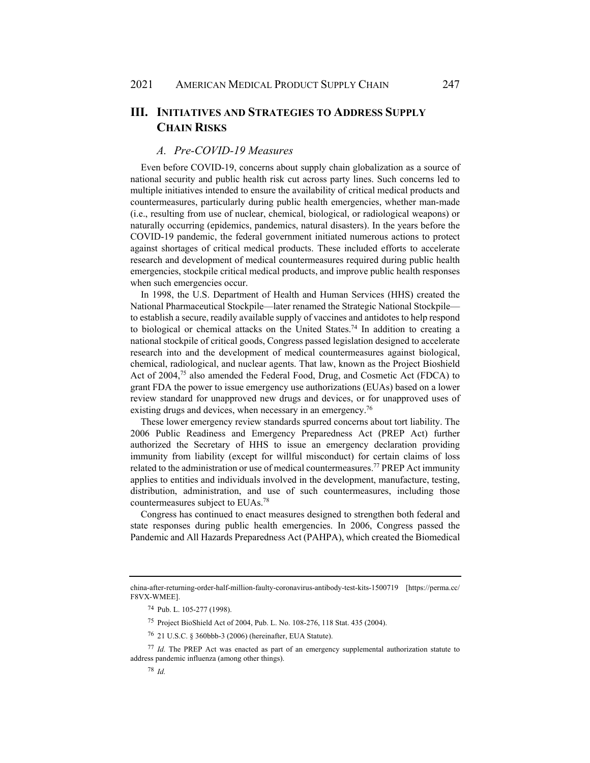# **III. INITIATIVES AND STRATEGIES TO ADDRESS SUPPLY CHAIN RISKS**

## *A. Pre-COVID-19 Measures*

Even before COVID-19, concerns about supply chain globalization as a source of national security and public health risk cut across party lines. Such concerns led to multiple initiatives intended to ensure the availability of critical medical products and countermeasures, particularly during public health emergencies, whether man-made (i.e., resulting from use of nuclear, chemical, biological, or radiological weapons) or naturally occurring (epidemics, pandemics, natural disasters). In the years before the COVID-19 pandemic, the federal government initiated numerous actions to protect against shortages of critical medical products. These included efforts to accelerate research and development of medical countermeasures required during public health emergencies, stockpile critical medical products, and improve public health responses when such emergencies occur.

In 1998, the U.S. Department of Health and Human Services (HHS) created the National Pharmaceutical Stockpile—later renamed the Strategic National Stockpile to establish a secure, readily available supply of vaccines and antidotes to help respond to biological or chemical attacks on the United States.74 In addition to creating a national stockpile of critical goods, Congress passed legislation designed to accelerate research into and the development of medical countermeasures against biological, chemical, radiological, and nuclear agents. That law, known as the Project Bioshield Act of 2004,75 also amended the Federal Food, Drug, and Cosmetic Act (FDCA) to grant FDA the power to issue emergency use authorizations (EUAs) based on a lower review standard for unapproved new drugs and devices, or for unapproved uses of existing drugs and devices, when necessary in an emergency.<sup>76</sup>

These lower emergency review standards spurred concerns about tort liability. The 2006 Public Readiness and Emergency Preparedness Act (PREP Act) further authorized the Secretary of HHS to issue an emergency declaration providing immunity from liability (except for willful misconduct) for certain claims of loss related to the administration or use of medical countermeasures.77 PREP Act immunity applies to entities and individuals involved in the development, manufacture, testing, distribution, administration, and use of such countermeasures, including those countermeasures subject to EUAs.78

Congress has continued to enact measures designed to strengthen both federal and state responses during public health emergencies. In 2006, Congress passed the Pandemic and All Hazards Preparedness Act (PAHPA), which created the Biomedical

china-after-returning-order-half-million-faulty-coronavirus-antibody-test-kits-1500719 [https://perma.cc/ F8VX-WMEE].

<sup>74</sup> Pub. L. 105-277 (1998).

<sup>75</sup> Project BioShield Act of 2004, Pub. L. No. 108-276, 118 Stat. 435 (2004).

<sup>76 21</sup> U.S.C. § 360bbb-3 (2006) (hereinafter, EUA Statute).

<sup>77</sup> *Id.* The PREP Act was enacted as part of an emergency supplemental authorization statute to address pandemic influenza (among other things).

<sup>78</sup> *Id.*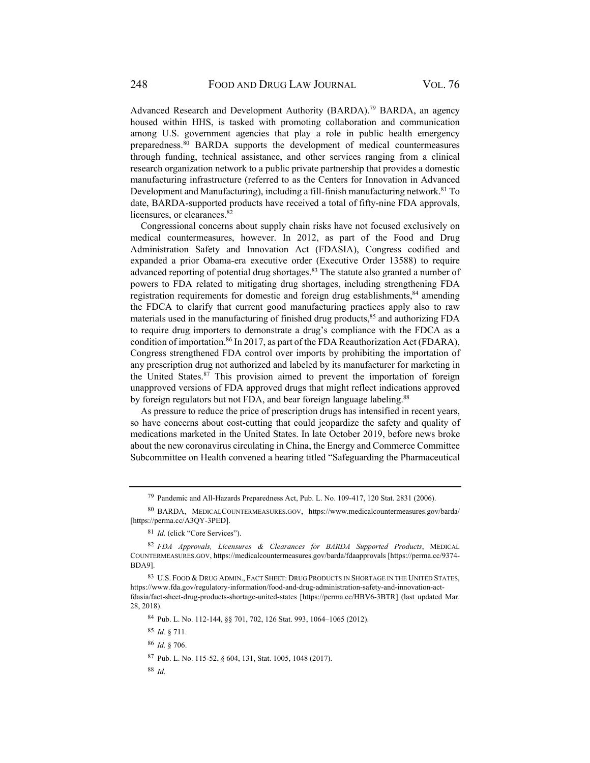Advanced Research and Development Authority (BARDA).<sup>79</sup> BARDA, an agency housed within HHS, is tasked with promoting collaboration and communication among U.S. government agencies that play a role in public health emergency preparedness.80 BARDA supports the development of medical countermeasures through funding, technical assistance, and other services ranging from a clinical research organization network to a public private partnership that provides a domestic manufacturing infrastructure (referred to as the Centers for Innovation in Advanced Development and Manufacturing), including a fill-finish manufacturing network.<sup>81</sup> To date, BARDA-supported products have received a total of fifty-nine FDA approvals, licensures, or clearances.<sup>82</sup>

Congressional concerns about supply chain risks have not focused exclusively on medical countermeasures, however. In 2012, as part of the Food and Drug Administration Safety and Innovation Act (FDASIA), Congress codified and expanded a prior Obama-era executive order (Executive Order 13588) to require advanced reporting of potential drug shortages.83 The statute also granted a number of powers to FDA related to mitigating drug shortages, including strengthening FDA registration requirements for domestic and foreign drug establishments,<sup>84</sup> amending the FDCA to clarify that current good manufacturing practices apply also to raw materials used in the manufacturing of finished drug products,<sup>85</sup> and authorizing FDA to require drug importers to demonstrate a drug's compliance with the FDCA as a condition of importation.86 In 2017, as part of the FDA Reauthorization Act (FDARA), Congress strengthened FDA control over imports by prohibiting the importation of any prescription drug not authorized and labeled by its manufacturer for marketing in the United States.<sup>87</sup> This provision aimed to prevent the importation of foreign unapproved versions of FDA approved drugs that might reflect indications approved by foreign regulators but not FDA, and bear foreign language labeling.<sup>88</sup>

As pressure to reduce the price of prescription drugs has intensified in recent years, so have concerns about cost-cutting that could jeopardize the safety and quality of medications marketed in the United States. In late October 2019, before news broke about the new coronavirus circulating in China, the Energy and Commerce Committee Subcommittee on Health convened a hearing titled "Safeguarding the Pharmaceutical

84 Pub. L. No. 112-144, §§ 701, 702, 126 Stat. 993, 1064–1065 (2012).

<sup>85</sup> *Id.* § 711.

<sup>86</sup> *Id.* § 706.

87 Pub. L. No. 115-52, § 604, 131, Stat. 1005, 1048 (2017).

<sup>88</sup> *Id.*

<sup>79</sup> Pandemic and All-Hazards Preparedness Act, Pub. L. No. 109-417, 120 Stat. 2831 (2006).

<sup>80</sup> BARDA, MEDICALCOUNTERMEASURES.GOV, https://www.medicalcountermeasures.gov/barda/ [https://perma.cc/A3QY-3PED].

<sup>81</sup> *Id.* (click "Core Services").

<sup>82</sup> *FDA Approvals, Licensures & Clearances for BARDA Supported Products*, MEDICAL COUNTERMEASURES.GOV, https://medicalcountermeasures.gov/barda/fdaapprovals [https://perma.cc/9374- BDA9].

<sup>83</sup> U.S. FOOD & DRUG ADMIN., FACT SHEET: DRUG PRODUCTS IN SHORTAGE IN THE UNITED STATES, https://www.fda.gov/regulatory-information/food-and-drug-administration-safety-and-innovation-actfdasia/fact-sheet-drug-products-shortage-united-states [https://perma.cc/HBV6-3BTR] (last updated Mar. 28, 2018).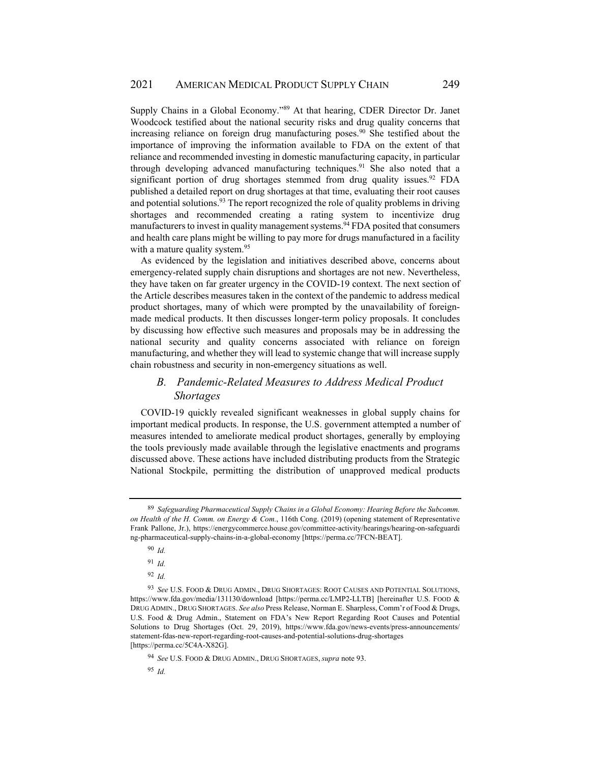Supply Chains in a Global Economy."<sup>89</sup> At that hearing, CDER Director Dr. Janet Woodcock testified about the national security risks and drug quality concerns that increasing reliance on foreign drug manufacturing poses.<sup>90</sup> She testified about the importance of improving the information available to FDA on the extent of that reliance and recommended investing in domestic manufacturing capacity, in particular through developing advanced manufacturing techniques.<sup>91</sup> She also noted that a significant portion of drug shortages stemmed from drug quality issues.<sup>92</sup> FDA published a detailed report on drug shortages at that time, evaluating their root causes and potential solutions.  $93$  The report recognized the role of quality problems in driving shortages and recommended creating a rating system to incentivize drug manufacturers to invest in quality management systems.<sup>94</sup> FDA posited that consumers and health care plans might be willing to pay more for drugs manufactured in a facility with a mature quality system.<sup>95</sup>

As evidenced by the legislation and initiatives described above, concerns about emergency-related supply chain disruptions and shortages are not new. Nevertheless, they have taken on far greater urgency in the COVID-19 context. The next section of the Article describes measures taken in the context of the pandemic to address medical product shortages, many of which were prompted by the unavailability of foreignmade medical products. It then discusses longer-term policy proposals. It concludes by discussing how effective such measures and proposals may be in addressing the national security and quality concerns associated with reliance on foreign manufacturing, and whether they will lead to systemic change that will increase supply chain robustness and security in non-emergency situations as well.

# *B. Pandemic-Related Measures to Address Medical Product Shortages*

COVID-19 quickly revealed significant weaknesses in global supply chains for important medical products. In response, the U.S. government attempted a number of measures intended to ameliorate medical product shortages, generally by employing the tools previously made available through the legislative enactments and programs discussed above. These actions have included distributing products from the Strategic National Stockpile, permitting the distribution of unapproved medical products

<sup>89</sup> *Safeguarding Pharmaceutical Supply Chains in a Global Economy: Hearing Before the Subcomm. on Health of the H. Comm. on Energy & Com.*, 116th Cong. (2019) (opening statement of Representative Frank Pallone, Jr.), https://energycommerce.house.gov/committee-activity/hearings/hearing-on-safeguardi ng-pharmaceutical-supply-chains-in-a-global-economy [https://perma.cc/7FCN-BEAT].

<sup>90</sup> *Id.*

<sup>91</sup> *Id.*

<sup>92</sup> *Id.*

<sup>93</sup> *See* U.S. FOOD & DRUG ADMIN., DRUG SHORTAGES: ROOT CAUSES AND POTENTIAL SOLUTIONS, https://www.fda.gov/media/131130/download [https://perma.cc/LMP2-LLTB] [hereinafter U.S. FOOD & DRUG ADMIN., DRUG SHORTAGES. *See also* Press Release, Norman E. Sharpless, Comm'r of Food & Drugs, U.S. Food & Drug Admin., Statement on FDA's New Report Regarding Root Causes and Potential Solutions to Drug Shortages (Oct. 29, 2019), https://www.fda.gov/news-events/press-announcements/ statement-fdas-new-report-regarding-root-causes-and-potential-solutions-drug-shortages [https://perma.cc/5C4A-X82G].

<sup>94</sup> *See* U.S. FOOD & DRUG ADMIN., DRUG SHORTAGES, *supra* note 93.

<sup>95</sup> *Id.*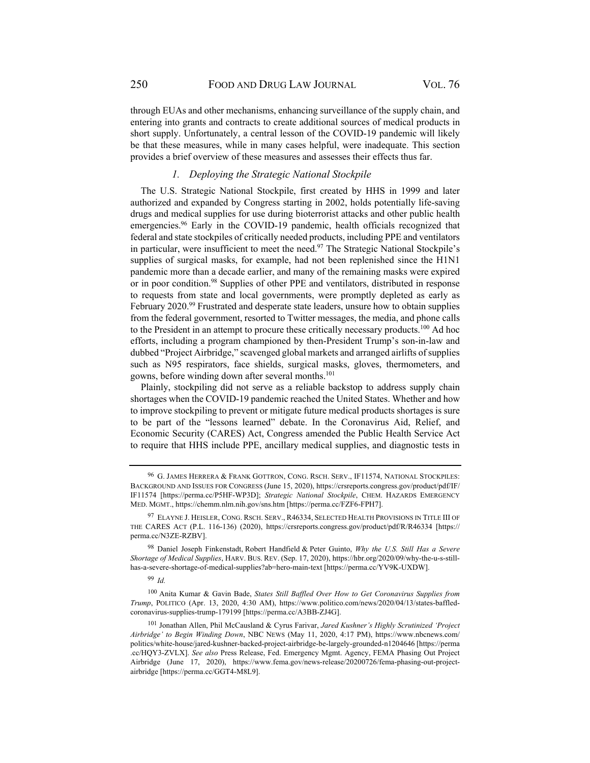through EUAs and other mechanisms, enhancing surveillance of the supply chain, and entering into grants and contracts to create additional sources of medical products in short supply. Unfortunately, a central lesson of the COVID-19 pandemic will likely be that these measures, while in many cases helpful, were inadequate. This section provides a brief overview of these measures and assesses their effects thus far.

### *1. Deploying the Strategic National Stockpile*

The U.S. Strategic National Stockpile, first created by HHS in 1999 and later authorized and expanded by Congress starting in 2002, holds potentially life-saving drugs and medical supplies for use during bioterrorist attacks and other public health emergencies.96 Early in the COVID-19 pandemic, health officials recognized that federal and state stockpiles of critically needed products, including PPE and ventilators in particular, were insufficient to meet the need.<sup>97</sup> The Strategic National Stockpile's supplies of surgical masks, for example, had not been replenished since the H1N1 pandemic more than a decade earlier, and many of the remaining masks were expired or in poor condition.<sup>98</sup> Supplies of other PPE and ventilators, distributed in response to requests from state and local governments, were promptly depleted as early as February 2020.<sup>99</sup> Frustrated and desperate state leaders, unsure how to obtain supplies from the federal government, resorted to Twitter messages, the media, and phone calls to the President in an attempt to procure these critically necessary products.<sup>100</sup> Ad hoc efforts, including a program championed by then-President Trump's son-in-law and dubbed "Project Airbridge," scavenged global markets and arranged airlifts of supplies such as N95 respirators, face shields, surgical masks, gloves, thermometers, and gowns, before winding down after several months.101

Plainly, stockpiling did not serve as a reliable backstop to address supply chain shortages when the COVID-19 pandemic reached the United States. Whether and how to improve stockpiling to prevent or mitigate future medical products shortages is sure to be part of the "lessons learned" debate. In the Coronavirus Aid, Relief, and Economic Security (CARES) Act, Congress amended the Public Health Service Act to require that HHS include PPE, ancillary medical supplies, and diagnostic tests in

<sup>96</sup> G. JAMES HERRERA & FRANK GOTTRON, CONG. RSCH. SERV., IF11574, NATIONAL STOCKPILES: BACKGROUND AND ISSUES FOR CONGRESS (June 15, 2020), https://crsreports.congress.gov/product/pdf/IF/ IF11574 [https://perma.cc/P5HF-WP3D]; *Strategic National Stockpile*, CHEM. HAZARDS EMERGENCY MED. MGMT., https://chemm.nlm.nih.gov/sns.htm [https://perma.cc/FZF6-FPH7].

<sup>97</sup> ELAYNE J. HEISLER, CONG. RSCH. SERV., R46334, SELECTED HEALTH PROVISIONS IN TITLE III OF THE CARES ACT (P.L. 116-136) (2020), https://crsreports.congress.gov/product/pdf/R/R46334 [https:// perma.cc/N3ZE-RZBV].

<sup>98</sup> Daniel Joseph Finkenstadt, Robert Handfield & Peter Guinto, *Why the U.S. Still Has a Severe Shortage of Medical Supplies*, HARV. BUS. REV. (Sep. 17, 2020), https://hbr.org/2020/09/why-the-u-s-stillhas-a-severe-shortage-of-medical-supplies?ab=hero-main-text [https://perma.cc/YV9K-UXDW].

<sup>99</sup> *Id.*

<sup>100</sup> Anita Kumar & Gavin Bade, *States Still Baffled Over How to Get Coronavirus Supplies from Trump*, POLITICO (Apr. 13, 2020, 4:30 AM), https://www.politico.com/news/2020/04/13/states-baffledcoronavirus-supplies-trump-179199 [https://perma.cc/A3BB-ZJ4G].

<sup>101</sup> Jonathan Allen, Phil McCausland & Cyrus Farivar, *Jared Kushner's Highly Scrutinized 'Project Airbridge' to Begin Winding Down*, NBC NEWS (May 11, 2020, 4:17 PM), https://www.nbcnews.com/ politics/white-house/jared-kushner-backed-project-airbridge-be-largely-grounded-n1204646 [https://perma .cc/HQY3-ZVLX]. *See also* Press Release, Fed. Emergency Mgmt. Agency, FEMA Phasing Out Project Airbridge (June 17, 2020), https://www.fema.gov/news-release/20200726/fema-phasing-out-projectairbridge [https://perma.cc/GGT4-M8L9].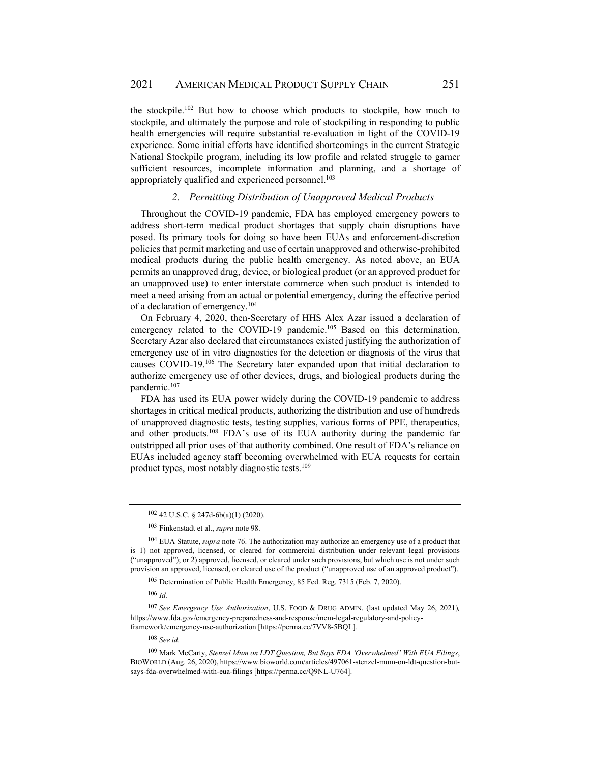the stockpile.102 But how to choose which products to stockpile, how much to stockpile, and ultimately the purpose and role of stockpiling in responding to public health emergencies will require substantial re-evaluation in light of the COVID-19 experience. Some initial efforts have identified shortcomings in the current Strategic National Stockpile program, including its low profile and related struggle to garner sufficient resources, incomplete information and planning, and a shortage of appropriately qualified and experienced personnel.<sup>103</sup>

### *2. Permitting Distribution of Unapproved Medical Products*

Throughout the COVID-19 pandemic, FDA has employed emergency powers to address short-term medical product shortages that supply chain disruptions have posed. Its primary tools for doing so have been EUAs and enforcement-discretion policies that permit marketing and use of certain unapproved and otherwise-prohibited medical products during the public health emergency. As noted above, an EUA permits an unapproved drug, device, or biological product (or an approved product for an unapproved use) to enter interstate commerce when such product is intended to meet a need arising from an actual or potential emergency, during the effective period of a declaration of emergency.104

On February 4, 2020, then-Secretary of HHS Alex Azar issued a declaration of emergency related to the COVID-19 pandemic.<sup>105</sup> Based on this determination, Secretary Azar also declared that circumstances existed justifying the authorization of emergency use of in vitro diagnostics for the detection or diagnosis of the virus that causes COVID-19.106 The Secretary later expanded upon that initial declaration to authorize emergency use of other devices, drugs, and biological products during the pandemic.107

FDA has used its EUA power widely during the COVID-19 pandemic to address shortages in critical medical products, authorizing the distribution and use of hundreds of unapproved diagnostic tests, testing supplies, various forms of PPE, therapeutics, and other products.108 FDA's use of its EUA authority during the pandemic far outstripped all prior uses of that authority combined. One result of FDA's reliance on EUAs included agency staff becoming overwhelmed with EUA requests for certain product types, most notably diagnostic tests.109

105 Determination of Public Health Emergency, 85 Fed. Reg. 7315 (Feb. 7, 2020).

<sup>108</sup> *See id.*

<sup>102 42</sup> U.S.C. § 247d-6b(a)(1) (2020).

<sup>103</sup> Finkenstadt et al., *supra* note 98.

<sup>104</sup> EUA Statute, *supra* note 76. The authorization may authorize an emergency use of a product that is 1) not approved, licensed, or cleared for commercial distribution under relevant legal provisions ("unapproved"); or 2) approved, licensed, or cleared under such provisions, but which use is not under such provision an approved, licensed, or cleared use of the product ("unapproved use of an approved product").

<sup>106</sup> *Id.*

<sup>107</sup> *See Emergency Use Authorization*, U.S. FOOD & DRUG ADMIN. (last updated May 26, 2021)*,* https://www.fda.gov/emergency-preparedness-and-response/mcm-legal-regulatory-and-policyframework/emergency-use-authorization [https://perma.cc/7VV8-5BQL]*.* 

<sup>109</sup> Mark McCarty, *Stenzel Mum on LDT Question, But Says FDA 'Overwhelmed' With EUA Filings*, BIOWORLD (Aug. 26, 2020), https://www.bioworld.com/articles/497061-stenzel-mum-on-ldt-question-butsays-fda-overwhelmed-with-eua-filings [https://perma.cc/Q9NL-U764].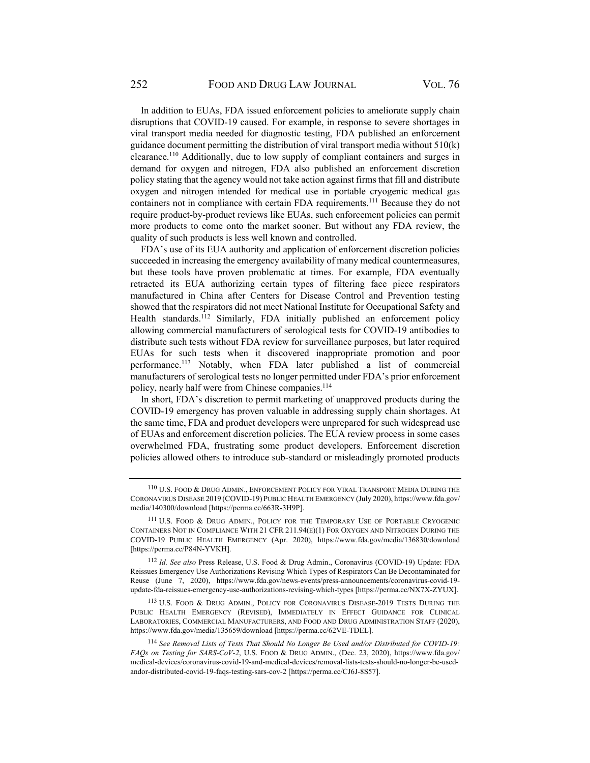In addition to EUAs, FDA issued enforcement policies to ameliorate supply chain disruptions that COVID-19 caused. For example, in response to severe shortages in viral transport media needed for diagnostic testing, FDA published an enforcement guidance document permitting the distribution of viral transport media without 510(k) clearance.110 Additionally, due to low supply of compliant containers and surges in demand for oxygen and nitrogen, FDA also published an enforcement discretion policy stating that the agency would not take action against firms that fill and distribute oxygen and nitrogen intended for medical use in portable cryogenic medical gas containers not in compliance with certain FDA requirements.<sup>111</sup> Because they do not require product-by-product reviews like EUAs, such enforcement policies can permit more products to come onto the market sooner. But without any FDA review, the quality of such products is less well known and controlled.

FDA's use of its EUA authority and application of enforcement discretion policies succeeded in increasing the emergency availability of many medical countermeasures, but these tools have proven problematic at times. For example, FDA eventually retracted its EUA authorizing certain types of filtering face piece respirators manufactured in China after Centers for Disease Control and Prevention testing showed that the respirators did not meet National Institute for Occupational Safety and Health standards.<sup>112</sup> Similarly, FDA initially published an enforcement policy allowing commercial manufacturers of serological tests for COVID-19 antibodies to distribute such tests without FDA review for surveillance purposes, but later required EUAs for such tests when it discovered inappropriate promotion and poor performance.113 Notably, when FDA later published a list of commercial manufacturers of serological tests no longer permitted under FDA's prior enforcement policy, nearly half were from Chinese companies.<sup>114</sup>

In short, FDA's discretion to permit marketing of unapproved products during the COVID-19 emergency has proven valuable in addressing supply chain shortages. At the same time, FDA and product developers were unprepared for such widespread use of EUAs and enforcement discretion policies. The EUA review process in some cases overwhelmed FDA, frustrating some product developers. Enforcement discretion policies allowed others to introduce sub-standard or misleadingly promoted products

<sup>110</sup> U.S. FOOD & DRUG ADMIN., ENFORCEMENT POLICY FOR VIRAL TRANSPORT MEDIA DURING THE CORONAVIRUS DISEASE 2019 (COVID-19) PUBLIC HEALTH EMERGENCY (July 2020), https://www.fda.gov/ media/140300/download [https://perma.cc/663R-3H9P].

<sup>111</sup> U.S. FOOD & DRUG ADMIN., POLICY FOR THE TEMPORARY USE OF PORTABLE CRYOGENIC CONTAINERS NOT IN COMPLIANCE WITH 21 CFR 211.94(E)(1) FOR OXYGEN AND NITROGEN DURING THE COVID-19 PUBLIC HEALTH EMERGENCY (Apr. 2020), https://www.fda.gov/media/136830/download [https://perma.cc/P84N-YVKH].

<sup>112</sup> *Id. See also* Press Release, U.S. Food & Drug Admin., Coronavirus (COVID-19) Update: FDA Reissues Emergency Use Authorizations Revising Which Types of Respirators Can Be Decontaminated for Reuse (June 7, 2020), https://www.fda.gov/news-events/press-announcements/coronavirus-covid-19 update-fda-reissues-emergency-use-authorizations-revising-which-types [https://perma.cc/NX7X-ZYUX].

<sup>113</sup> U.S. FOOD & DRUG ADMIN., POLICY FOR CORONAVIRUS DISEASE-2019 TESTS DURING THE PUBLIC HEALTH EMERGENCY (REVISED), IMMEDIATELY IN EFFECT GUIDANCE FOR CLINICAL LABORATORIES, COMMERCIAL MANUFACTURERS, AND FOOD AND DRUG ADMINISTRATION STAFF (2020), https://www.fda.gov/media/135659/download [https://perma.cc/62VE-TDEL].

<sup>114</sup> *See Removal Lists of Tests That Should No Longer Be Used and/or Distributed for COVID-19: FAQs on Testing for SARS-CoV-2*, U.S. FOOD & DRUG ADMIN., (Dec. 23, 2020), https://www.fda.gov/ medical-devices/coronavirus-covid-19-and-medical-devices/removal-lists-tests-should-no-longer-be-usedandor-distributed-covid-19-faqs-testing-sars-cov-2 [https://perma.cc/CJ6J-8S57].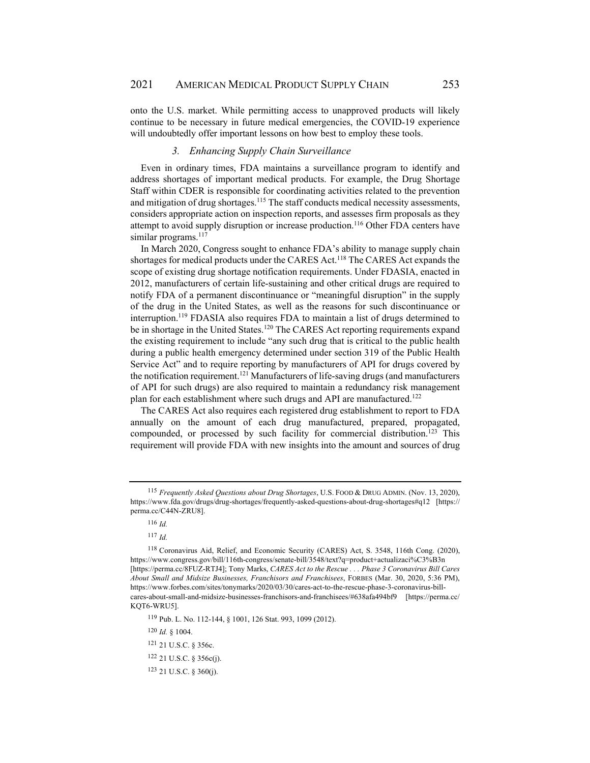onto the U.S. market. While permitting access to unapproved products will likely continue to be necessary in future medical emergencies, the COVID-19 experience will undoubtedly offer important lessons on how best to employ these tools.

#### *3. Enhancing Supply Chain Surveillance*

Even in ordinary times, FDA maintains a surveillance program to identify and address shortages of important medical products. For example, the Drug Shortage Staff within CDER is responsible for coordinating activities related to the prevention and mitigation of drug shortages.<sup>115</sup> The staff conducts medical necessity assessments, considers appropriate action on inspection reports, and assesses firm proposals as they attempt to avoid supply disruption or increase production.<sup>116</sup> Other FDA centers have similar programs.<sup>117</sup>

In March 2020, Congress sought to enhance FDA's ability to manage supply chain shortages for medical products under the CARES Act.118 The CARES Act expands the scope of existing drug shortage notification requirements. Under FDASIA, enacted in 2012, manufacturers of certain life-sustaining and other critical drugs are required to notify FDA of a permanent discontinuance or "meaningful disruption" in the supply of the drug in the United States, as well as the reasons for such discontinuance or interruption.119 FDASIA also requires FDA to maintain a list of drugs determined to be in shortage in the United States.<sup>120</sup> The CARES Act reporting requirements expand the existing requirement to include "any such drug that is critical to the public health during a public health emergency determined under section 319 of the Public Health Service Act" and to require reporting by manufacturers of API for drugs covered by the notification requirement.<sup>121</sup> Manufacturers of life-saving drugs (and manufacturers of API for such drugs) are also required to maintain a redundancy risk management plan for each establishment where such drugs and API are manufactured.<sup>122</sup>

The CARES Act also requires each registered drug establishment to report to FDA annually on the amount of each drug manufactured, prepared, propagated, compounded, or processed by such facility for commercial distribution.<sup>123</sup> This requirement will provide FDA with new insights into the amount and sources of drug

119 Pub. L. No. 112-144, § 1001, 126 Stat. 993, 1099 (2012).

<sup>120</sup> *Id.* § 1004.

<sup>115</sup> *Frequently Asked Questions about Drug Shortages*, U.S. FOOD & DRUG ADMIN. (Nov. 13, 2020), https://www.fda.gov/drugs/drug-shortages/frequently-asked-questions-about-drug-shortages#q12 [https:// perma.cc/C44N-ZRU8].

<sup>116</sup> *Id.*

<sup>117</sup> *Id.*

<sup>118</sup> Coronavirus Aid, Relief, and Economic Security (CARES) Act, S. 3548, 116th Cong. (2020), https://www.congress.gov/bill/116th-congress/senate-bill/3548/text?q=product+actualizaci%C3%B3n [https://perma.cc/8FUZ-RTJ4]; Tony Marks, *CARES Act to the Rescue . . . Phase 3 Coronavirus Bill Cares About Small and Midsize Businesses, Franchisors and Franchisees*, FORBES (Mar. 30, 2020, 5:36 PM), https://www.forbes.com/sites/tonymarks/2020/03/30/cares-act-to-the-rescue-phase-3-coronavirus-billcares-about-small-and-midsize-businesses-franchisors-and-franchisees/#638afa494bf9 [https://perma.cc/ KOT6-WRU5].

<sup>121 21</sup> U.S.C. § 356c.

<sup>122 21</sup> U.S.C. § 356c(j).

<sup>123 21</sup> U.S.C. § 360(j).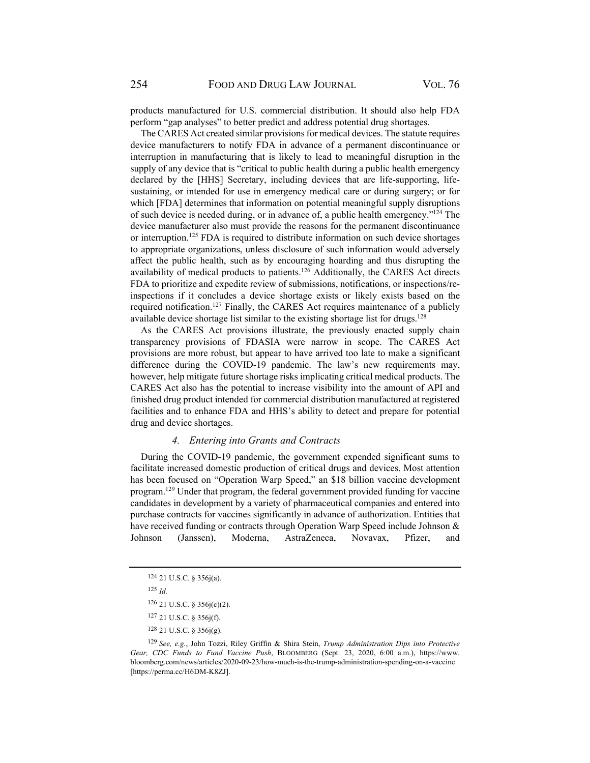products manufactured for U.S. commercial distribution. It should also help FDA perform "gap analyses" to better predict and address potential drug shortages.

The CARES Act created similar provisions for medical devices. The statute requires device manufacturers to notify FDA in advance of a permanent discontinuance or interruption in manufacturing that is likely to lead to meaningful disruption in the supply of any device that is "critical to public health during a public health emergency declared by the [HHS] Secretary, including devices that are life-supporting, lifesustaining, or intended for use in emergency medical care or during surgery; or for which [FDA] determines that information on potential meaningful supply disruptions of such device is needed during, or in advance of, a public health emergency."124 The device manufacturer also must provide the reasons for the permanent discontinuance or interruption.<sup>125</sup> FDA is required to distribute information on such device shortages to appropriate organizations, unless disclosure of such information would adversely affect the public health, such as by encouraging hoarding and thus disrupting the availability of medical products to patients.126 Additionally, the CARES Act directs FDA to prioritize and expedite review of submissions, notifications, or inspections/reinspections if it concludes a device shortage exists or likely exists based on the required notification.127 Finally, the CARES Act requires maintenance of a publicly available device shortage list similar to the existing shortage list for drugs.<sup>128</sup>

As the CARES Act provisions illustrate, the previously enacted supply chain transparency provisions of FDASIA were narrow in scope. The CARES Act provisions are more robust, but appear to have arrived too late to make a significant difference during the COVID-19 pandemic. The law's new requirements may, however, help mitigate future shortage risks implicating critical medical products. The CARES Act also has the potential to increase visibility into the amount of API and finished drug product intended for commercial distribution manufactured at registered facilities and to enhance FDA and HHS's ability to detect and prepare for potential drug and device shortages.

### *4. Entering into Grants and Contracts*

During the COVID-19 pandemic, the government expended significant sums to facilitate increased domestic production of critical drugs and devices. Most attention has been focused on "Operation Warp Speed," an \$18 billion vaccine development program.129 Under that program, the federal government provided funding for vaccine candidates in development by a variety of pharmaceutical companies and entered into purchase contracts for vaccines significantly in advance of authorization. Entities that have received funding or contracts through Operation Warp Speed include Johnson & Johnson (Janssen), Moderna, AstraZeneca, Novavax, Pfizer, and

127 21 U.S.C. § 356j(f).

<sup>124 21</sup> U.S.C. § 356j(a).

<sup>125</sup> *Id.*

<sup>126 21</sup> U.S.C. § 356j(c)(2).

<sup>128 21</sup> U.S.C. § 356j(g).

<sup>129</sup> *See, e.g.*, John Tozzi, Riley Griffin & Shira Stein, *Trump Administration Dips into Protective Gear, CDC Funds to Fund Vaccine Push*, BLOOMBERG (Sept. 23, 2020, 6:00 a.m.), https://www. bloomberg.com/news/articles/2020-09-23/how-much-is-the-trump-administration-spending-on-a-vaccine [https://perma.cc/H6DM-K8ZJ].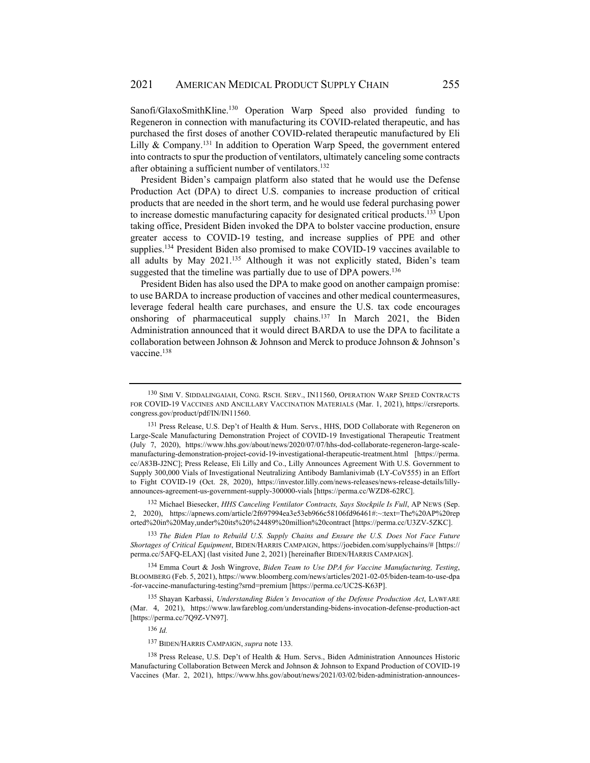Sanofi/GlaxoSmithKline.<sup>130</sup> Operation Warp Speed also provided funding to Regeneron in connection with manufacturing its COVID-related therapeutic, and has purchased the first doses of another COVID-related therapeutic manufactured by Eli Lilly & Company.<sup>131</sup> In addition to Operation Warp Speed, the government entered into contracts to spur the production of ventilators, ultimately canceling some contracts after obtaining a sufficient number of ventilators.<sup>132</sup>

President Biden's campaign platform also stated that he would use the Defense Production Act (DPA) to direct U.S. companies to increase production of critical products that are needed in the short term, and he would use federal purchasing power to increase domestic manufacturing capacity for designated critical products.<sup>133</sup> Upon taking office, President Biden invoked the DPA to bolster vaccine production, ensure greater access to COVID-19 testing, and increase supplies of PPE and other supplies.<sup>134</sup> President Biden also promised to make COVID-19 vaccines available to all adults by May 2021.135 Although it was not explicitly stated, Biden's team suggested that the timeline was partially due to use of DPA powers.<sup>136</sup>

President Biden has also used the DPA to make good on another campaign promise: to use BARDA to increase production of vaccines and other medical countermeasures, leverage federal health care purchases, and ensure the U.S. tax code encourages onshoring of pharmaceutical supply chains.137 In March 2021, the Biden Administration announced that it would direct BARDA to use the DPA to facilitate a collaboration between Johnson & Johnson and Merck to produce Johnson & Johnson's vaccine.<sup>138</sup>

132 Michael Biesecker, *HHS Canceling Ventilator Contracts, Says Stockpile Is Full*, AP NEWS (Sep. 2, 2020), https://apnews.com/article/2f697994ea3e53eb966c58106fd96461#:~:text=The%20AP%20rep orted%20in%20May,under%20its%20%24489%20million%20contract [https://perma.cc/U3ZV-5ZKC].

<sup>133</sup> *The Biden Plan to Rebuild U.S. Supply Chains and Ensure the U.S. Does Not Face Future Shortages of Critical Equipment*, BIDEN/HARRIS CAMPAIGN, https://joebiden.com/supplychains/# [https:// perma.cc/5AFQ-ELAX] (last visited June 2, 2021) [hereinafter BIDEN/HARRIS CAMPAIGN].

134 Emma Court & Josh Wingrove, *Biden Team to Use DPA for Vaccine Manufacturing, Testing*, BLOOMBERG (Feb. 5, 2021), https://www.bloomberg.com/news/articles/2021-02-05/biden-team-to-use-dpa -for-vaccine-manufacturing-testing?srnd=premium [https://perma.cc/UC2S-K63P].

135 Shayan Karbassi, *Understanding Biden's Invocation of the Defense Production Act*, LAWFARE (Mar. 4, 2021), https://www.lawfareblog.com/understanding-bidens-invocation-defense-production-act [https://perma.cc/7Q9Z-VN97].

<sup>136</sup> *Id.*

<sup>137</sup> BIDEN/HARRIS CAMPAIGN, *supra* note 133*.*

138 Press Release, U.S. Dep't of Health & Hum. Servs., Biden Administration Announces Historic Manufacturing Collaboration Between Merck and Johnson & Johnson to Expand Production of COVID-19 Vaccines (Mar. 2, 2021), https://www.hhs.gov/about/news/2021/03/02/biden-administration-announces-

<sup>130</sup> SIMI V. SIDDALINGAIAH, CONG. RSCH. SERV., IN11560, OPERATION WARP SPEED CONTRACTS FOR COVID-19 VACCINES AND ANCILLARY VACCINATION MATERIALS (Mar. 1, 2021), https://crsreports. congress.gov/product/pdf/IN/IN11560.

<sup>131</sup> Press Release, U.S. Dep't of Health & Hum. Servs., HHS, DOD Collaborate with Regeneron on Large-Scale Manufacturing Demonstration Project of COVID-19 Investigational Therapeutic Treatment (July 7, 2020), https://www.hhs.gov/about/news/2020/07/07/hhs-dod-collaborate-regeneron-large-scalemanufacturing-demonstration-project-covid-19-investigational-therapeutic-treatment.html [https://perma. cc/A83B-J2NC]; Press Release, Eli Lilly and Co., Lilly Announces Agreement With U.S. Government to Supply 300,000 Vials of Investigational Neutralizing Antibody Bamlanivimab (LY-CoV555) in an Effort to Fight COVID-19 (Oct. 28, 2020), https://investor.lilly.com/news-releases/news-release-details/lillyannounces-agreement-us-government-supply-300000-vials [https://perma.cc/WZD8-62RC].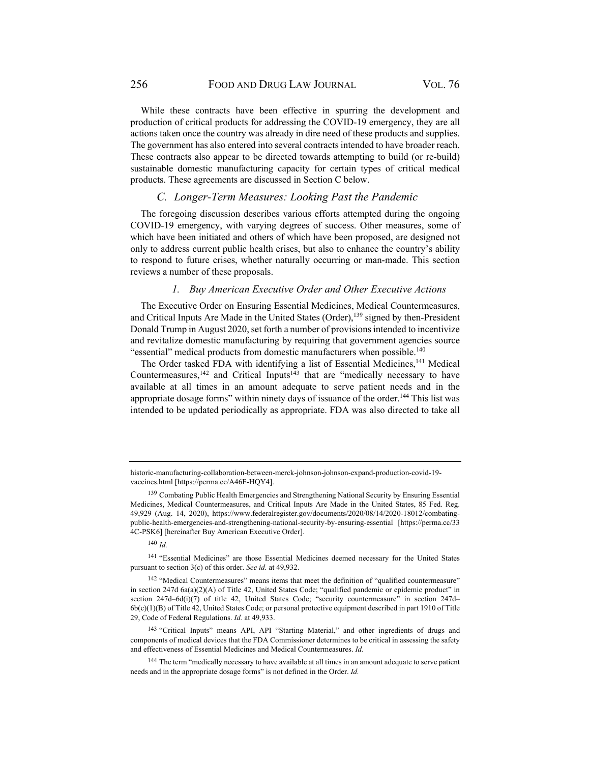While these contracts have been effective in spurring the development and production of critical products for addressing the COVID-19 emergency, they are all actions taken once the country was already in dire need of these products and supplies. The government has also entered into several contracts intended to have broader reach. These contracts also appear to be directed towards attempting to build (or re-build) sustainable domestic manufacturing capacity for certain types of critical medical products. These agreements are discussed in Section C below.

## *C. Longer-Term Measures: Looking Past the Pandemic*

The foregoing discussion describes various efforts attempted during the ongoing COVID-19 emergency, with varying degrees of success. Other measures, some of which have been initiated and others of which have been proposed, are designed not only to address current public health crises, but also to enhance the country's ability to respond to future crises, whether naturally occurring or man-made. This section reviews a number of these proposals.

### *1. Buy American Executive Order and Other Executive Actions*

The Executive Order on Ensuring Essential Medicines, Medical Countermeasures, and Critical Inputs Are Made in the United States (Order),<sup>139</sup> signed by then-President Donald Trump in August 2020, set forth a number of provisions intended to incentivize and revitalize domestic manufacturing by requiring that government agencies source "essential" medical products from domestic manufacturers when possible.<sup>140</sup>

The Order tasked FDA with identifying a list of Essential Medicines,<sup>141</sup> Medical Countermeasures,<sup>142</sup> and Critical Inputs<sup>143</sup> that are "medically necessary to have available at all times in an amount adequate to serve patient needs and in the appropriate dosage forms" within ninety days of issuance of the order.<sup>144</sup> This list was intended to be updated periodically as appropriate. FDA was also directed to take all

<sup>140</sup> *Id.*

historic-manufacturing-collaboration-between-merck-johnson-johnson-expand-production-covid-19 vaccines.html [https://perma.cc/A46F-HQY4].

<sup>&</sup>lt;sup>139</sup> Combating Public Health Emergencies and Strengthening National Security by Ensuring Essential Medicines, Medical Countermeasures, and Critical Inputs Are Made in the United States, 85 Fed. Reg. 49,929 (Aug. 14, 2020), https://www.federalregister.gov/documents/2020/08/14/2020-18012/combatingpublic-health-emergencies-and-strengthening-national-security-by-ensuring-essential [https://perma.cc/33 4C-PSK6] [hereinafter Buy American Executive Order].

<sup>141 &</sup>quot;Essential Medicines" are those Essential Medicines deemed necessary for the United States pursuant to section 3(c) of this order. *See id.* at 49,932.

<sup>&</sup>lt;sup>142</sup> "Medical Countermeasures" means items that meet the definition of "qualified countermeasure" in section 247d 6a(a)(2)(A) of Title 42, United States Code; "qualified pandemic or epidemic product" in section 247d-6d(i)(7) of title 42, United States Code; "security countermeasure" in section 247d-6b(c)(1)(B) of Title 42, United States Code; or personal protective equipment described in part 1910 of Title 29, Code of Federal Regulations. *Id.* at 49,933.

<sup>143 &</sup>quot;Critical Inputs" means API, API "Starting Material," and other ingredients of drugs and components of medical devices that the FDA Commissioner determines to be critical in assessing the safety and effectiveness of Essential Medicines and Medical Countermeasures. *Id.*

<sup>&</sup>lt;sup>144</sup> The term "medically necessary to have available at all times in an amount adequate to serve patient needs and in the appropriate dosage forms" is not defined in the Order. *Id.*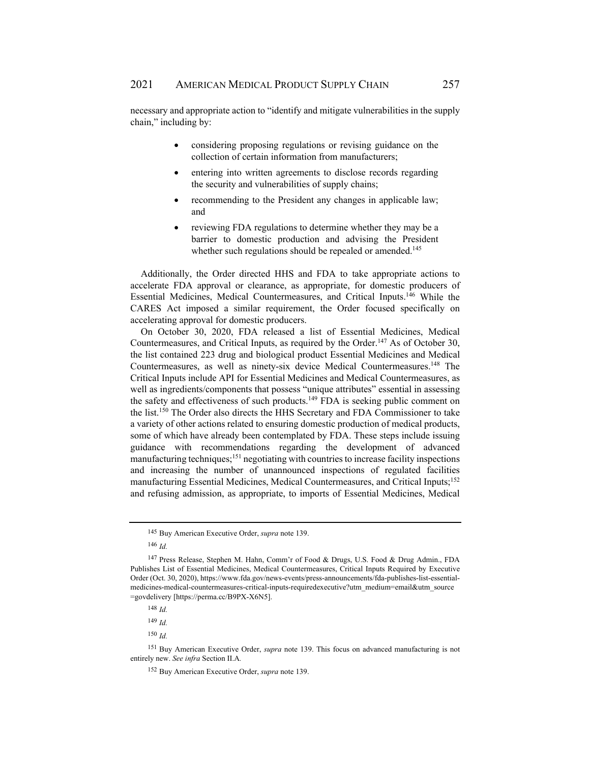necessary and appropriate action to "identify and mitigate vulnerabilities in the supply chain," including by:

- considering proposing regulations or revising guidance on the collection of certain information from manufacturers;
- entering into written agreements to disclose records regarding the security and vulnerabilities of supply chains;
- recommending to the President any changes in applicable law; and
- reviewing FDA regulations to determine whether they may be a barrier to domestic production and advising the President whether such regulations should be repealed or amended.<sup>145</sup>

Additionally, the Order directed HHS and FDA to take appropriate actions to accelerate FDA approval or clearance, as appropriate, for domestic producers of Essential Medicines, Medical Countermeasures, and Critical Inputs.146 While the CARES Act imposed a similar requirement, the Order focused specifically on accelerating approval for domestic producers.

On October 30, 2020, FDA released a list of Essential Medicines, Medical Countermeasures, and Critical Inputs, as required by the Order.147 As of October 30, the list contained 223 drug and biological product Essential Medicines and Medical Countermeasures, as well as ninety-six device Medical Countermeasures.<sup>148</sup> The Critical Inputs include API for Essential Medicines and Medical Countermeasures, as well as ingredients/components that possess "unique attributes" essential in assessing the safety and effectiveness of such products.149 FDA is seeking public comment on the list.150 The Order also directs the HHS Secretary and FDA Commissioner to take a variety of other actions related to ensuring domestic production of medical products, some of which have already been contemplated by FDA. These steps include issuing guidance with recommendations regarding the development of advanced manufacturing techniques;<sup>151</sup> negotiating with countries to increase facility inspections and increasing the number of unannounced inspections of regulated facilities manufacturing Essential Medicines, Medical Countermeasures, and Critical Inputs;<sup>152</sup> and refusing admission, as appropriate, to imports of Essential Medicines, Medical

<sup>145</sup> Buy American Executive Order, *supra* note 139.

<sup>146</sup> *Id.*

<sup>147</sup> Press Release, Stephen M. Hahn, Comm'r of Food & Drugs, U.S. Food & Drug Admin., FDA Publishes List of Essential Medicines, Medical Countermeasures, Critical Inputs Required by Executive Order (Oct. 30, 2020), https://www.fda.gov/news-events/press-announcements/fda-publishes-list-essentialmedicines-medical-countermeasures-critical-inputs-requiredexecutive?utm\_medium=email&utm\_source =govdelivery [https://perma.cc/B9PX-X6N5].

<sup>148</sup> *Id.*

<sup>149</sup> *Id.*

<sup>150</sup> *Id.*

<sup>151</sup> Buy American Executive Order, *supra* note 139. This focus on advanced manufacturing is not entirely new. *See infra* Section II.A*.*

<sup>152</sup> Buy American Executive Order, *supra* note 139.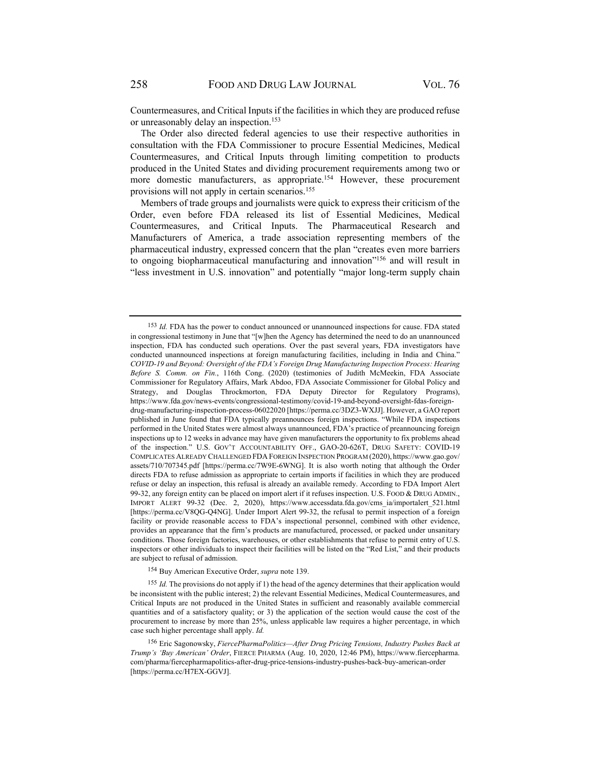Countermeasures, and Critical Inputs if the facilities in which they are produced refuse or unreasonably delay an inspection.<sup>153</sup>

The Order also directed federal agencies to use their respective authorities in consultation with the FDA Commissioner to procure Essential Medicines, Medical Countermeasures, and Critical Inputs through limiting competition to products produced in the United States and dividing procurement requirements among two or more domestic manufacturers, as appropriate.<sup>154</sup> However, these procurement provisions will not apply in certain scenarios.155

Members of trade groups and journalists were quick to express their criticism of the Order, even before FDA released its list of Essential Medicines, Medical Countermeasures, and Critical Inputs. The Pharmaceutical Research and Manufacturers of America, a trade association representing members of the pharmaceutical industry, expressed concern that the plan "creates even more barriers to ongoing biopharmaceutical manufacturing and innovation"156 and will result in "less investment in U.S. innovation" and potentially "major long-term supply chain

154 Buy American Executive Order, *supra* note 139.

<sup>155</sup> *Id.* The provisions do not apply if 1) the head of the agency determines that their application would be inconsistent with the public interest; 2) the relevant Essential Medicines, Medical Countermeasures, and Critical Inputs are not produced in the United States in sufficient and reasonably available commercial quantities and of a satisfactory quality; or 3) the application of the section would cause the cost of the procurement to increase by more than 25%, unless applicable law requires a higher percentage, in which case such higher percentage shall apply. *Id.*

<sup>153</sup> *Id.* FDA has the power to conduct announced or unannounced inspections for cause. FDA stated in congressional testimony in June that "[w]hen the Agency has determined the need to do an unannounced inspection, FDA has conducted such operations. Over the past several years, FDA investigators have conducted unannounced inspections at foreign manufacturing facilities, including in India and China." *COVID-19 and Beyond: Oversight of the FDA's Foreign Drug Manufacturing Inspection Process: Hearing Before S. Comm. on Fin.*, 116th Cong. (2020) (testimonies of Judith McMeekin, FDA Associate Commissioner for Regulatory Affairs, Mark Abdoo, FDA Associate Commissioner for Global Policy and Strategy, and Douglas Throckmorton, FDA Deputy Director for Regulatory Programs), https://www.fda.gov/news-events/congressional-testimony/covid-19-and-beyond-oversight-fdas-foreigndrug-manufacturing-inspection-process-06022020 [https://perma.cc/3DZ3-WXJJ]. However, a GAO report published in June found that FDA typically preannounces foreign inspections. "While FDA inspections performed in the United States were almost always unannounced, FDA's practice of preannouncing foreign inspections up to 12 weeks in advance may have given manufacturers the opportunity to fix problems ahead of the inspection." U.S. GOV'T ACCOUNTABILITY OFF., GAO-20-626T, DRUG SAFETY: COVID-19 COMPLICATES ALREADY CHALLENGED FDA FOREIGN INSPECTION PROGRAM (2020), https://www.gao.gov/ assets/710/707345.pdf [https://perma.cc/7W9E-6WNG]. It is also worth noting that although the Order directs FDA to refuse admission as appropriate to certain imports if facilities in which they are produced refuse or delay an inspection, this refusal is already an available remedy. According to FDA Import Alert 99-32, any foreign entity can be placed on import alert if it refuses inspection. U.S. FOOD & DRUG ADMIN., IMPORT ALERT 99-32 (Dec. 2, 2020), https://www.accessdata.fda.gov/cms\_ia/importalert\_521.html [https://perma.cc/V8QG-Q4NG]. Under Import Alert 99-32, the refusal to permit inspection of a foreign facility or provide reasonable access to FDA's inspectional personnel, combined with other evidence, provides an appearance that the firm's products are manufactured, processed, or packed under unsanitary conditions. Those foreign factories, warehouses, or other establishments that refuse to permit entry of U.S. inspectors or other individuals to inspect their facilities will be listed on the "Red List," and their products are subject to refusal of admission.

<sup>156</sup> Eric Sagonowsky, *FiercePharmaPolitics—After Drug Pricing Tensions, Industry Pushes Back at Trump's 'Buy American' Order*, FIERCE PHARMA (Aug. 10, 2020, 12:46 PM), https://www.fiercepharma. com/pharma/fiercepharmapolitics-after-drug-price-tensions-industry-pushes-back-buy-american-order [https://perma.cc/H7EX-GGVJ].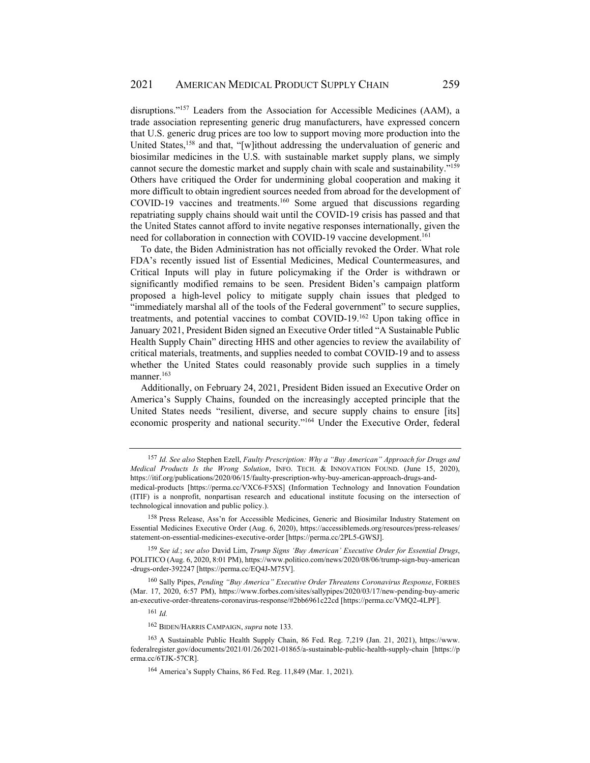disruptions."157 Leaders from the Association for Accessible Medicines (AAM), a trade association representing generic drug manufacturers, have expressed concern that U.S. generic drug prices are too low to support moving more production into the United States,<sup>158</sup> and that, "[w]ithout addressing the undervaluation of generic and biosimilar medicines in the U.S. with sustainable market supply plans, we simply cannot secure the domestic market and supply chain with scale and sustainability."159 Others have critiqued the Order for undermining global cooperation and making it more difficult to obtain ingredient sources needed from abroad for the development of COVID-19 vaccines and treatments.<sup>160</sup> Some argued that discussions regarding repatriating supply chains should wait until the COVID-19 crisis has passed and that the United States cannot afford to invite negative responses internationally, given the need for collaboration in connection with COVID-19 vaccine development.<sup>161</sup>

To date, the Biden Administration has not officially revoked the Order. What role FDA's recently issued list of Essential Medicines, Medical Countermeasures, and Critical Inputs will play in future policymaking if the Order is withdrawn or significantly modified remains to be seen. President Biden's campaign platform proposed a high-level policy to mitigate supply chain issues that pledged to "immediately marshal all of the tools of the Federal government" to secure supplies, treatments, and potential vaccines to combat COVID-19.162 Upon taking office in January 2021, President Biden signed an Executive Order titled "A Sustainable Public Health Supply Chain" directing HHS and other agencies to review the availability of critical materials, treatments, and supplies needed to combat COVID-19 and to assess whether the United States could reasonably provide such supplies in a timely manner.<sup>163</sup>

Additionally, on February 24, 2021, President Biden issued an Executive Order on America's Supply Chains, founded on the increasingly accepted principle that the United States needs "resilient, diverse, and secure supply chains to ensure [its] economic prosperity and national security."164 Under the Executive Order, federal

<sup>157</sup> *Id. See also* Stephen Ezell, *Faulty Prescription: Why a "Buy American" Approach for Drugs and Medical Products Is the Wrong Solution*, INFO. TECH. & INNOVATION FOUND. (June 15, 2020), https://itif.org/publications/2020/06/15/faulty-prescription-why-buy-american-approach-drugs-and-

medical-products [https://perma.cc/VXC6-F5XS] (Information Technology and Innovation Foundation (ITIF) is a nonprofit, nonpartisan research and educational institute focusing on the intersection of technological innovation and public policy.).

<sup>158</sup> Press Release, Ass'n for Accessible Medicines, Generic and Biosimilar Industry Statement on Essential Medicines Executive Order (Aug. 6, 2020), https://accessiblemeds.org/resources/press-releases/ statement-on-essential-medicines-executive-order [https://perma.cc/2PL5-GWSJ].

<sup>159</sup> *See id.*; *see also* David Lim, *Trump Signs 'Buy American' Executive Order for Essential Drugs*, POLITICO (Aug. 6, 2020, 8:01 PM), https://www.politico.com/news/2020/08/06/trump-sign-buy-american -drugs-order-392247 [https://perma.cc/EQ4J-M75V].

<sup>160</sup> Sally Pipes, *Pending "Buy America" Executive Order Threatens Coronavirus Response*, FORBES (Mar. 17, 2020, 6:57 PM), https://www.forbes.com/sites/sallypipes/2020/03/17/new-pending-buy-americ an-executive-order-threatens-coronavirus-response/#2bb6961c22cd [https://perma.cc/VMQ2-4LPF].

<sup>161</sup> *Id.*

<sup>162</sup> BIDEN/HARRIS CAMPAIGN, *supra* note 133.

<sup>163</sup> A Sustainable Public Health Supply Chain, 86 Fed. Reg. 7,219 (Jan. 21, 2021), https://www. federalregister.gov/documents/2021/01/26/2021-01865/a-sustainable-public-health-supply-chain [https://p erma.cc/6TJK-57CR].

<sup>164</sup> America's Supply Chains, 86 Fed. Reg. 11,849 (Mar. 1, 2021).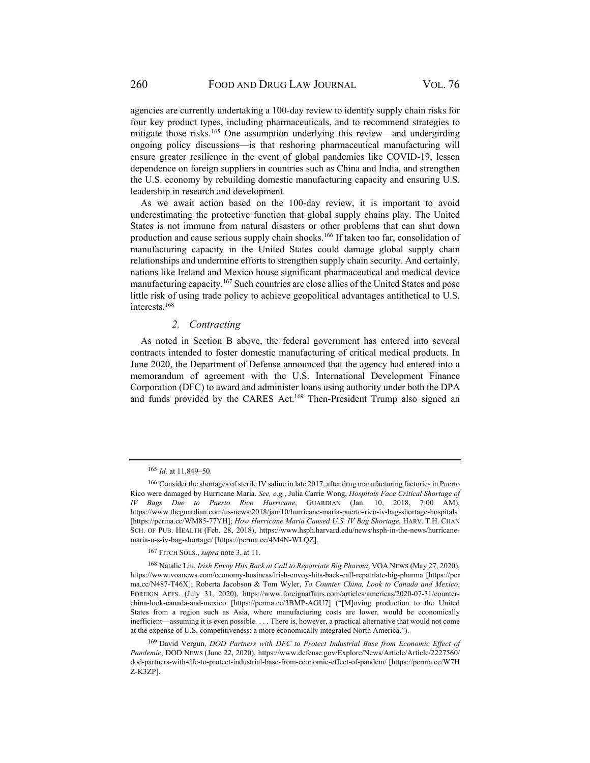agencies are currently undertaking a 100-day review to identify supply chain risks for four key product types, including pharmaceuticals, and to recommend strategies to mitigate those risks.165 One assumption underlying this review—and undergirding ongoing policy discussions—is that reshoring pharmaceutical manufacturing will ensure greater resilience in the event of global pandemics like COVID-19, lessen dependence on foreign suppliers in countries such as China and India, and strengthen the U.S. economy by rebuilding domestic manufacturing capacity and ensuring U.S. leadership in research and development.

As we await action based on the 100-day review, it is important to avoid underestimating the protective function that global supply chains play. The United States is not immune from natural disasters or other problems that can shut down production and cause serious supply chain shocks.<sup>166</sup> If taken too far, consolidation of manufacturing capacity in the United States could damage global supply chain relationships and undermine efforts to strengthen supply chain security. And certainly, nations like Ireland and Mexico house significant pharmaceutical and medical device manufacturing capacity.<sup>167</sup> Such countries are close allies of the United States and pose little risk of using trade policy to achieve geopolitical advantages antithetical to U.S. interests.168

### *2. Contracting*

As noted in Section B above, the federal government has entered into several contracts intended to foster domestic manufacturing of critical medical products. In June 2020, the Department of Defense announced that the agency had entered into a memorandum of agreement with the U.S. International Development Finance Corporation (DFC) to award and administer loans using authority under both the DPA and funds provided by the CARES Act.169 Then-President Trump also signed an

<sup>167</sup> FITCH SOLS., *supra* note 3, at 11.

<sup>165</sup> *Id.* at 11,849–50.

<sup>166</sup> Consider the shortages of sterile IV saline in late 2017, after drug manufacturing factories in Puerto Rico were damaged by Hurricane Maria. *See, e.g.*, Julia Carrie Wong, *Hospitals Face Critical Shortage of IV Bags Due to Puerto Rico Hurricane*, GUARDIAN (Jan. 10, 2018, 7:00 AM), https://www.theguardian.com/us-news/2018/jan/10/hurricane-maria-puerto-rico-iv-bag-shortage-hospitals [https://perma.cc/WM85-77YH]; *How Hurricane Maria Caused U.S. IV Bag Shortage*, HARV. T.H. CHAN SCH. OF PUB. HEALTH (Feb. 28, 2018), https://www.hsph.harvard.edu/news/hsph-in-the-news/hurricanemaria-u-s-iv-bag-shortage/ [https://perma.cc/4M4N-WLQZ].

<sup>168</sup> Natalie Liu, *Irish Envoy Hits Back at Call to Repatriate Big Pharma*, VOA NEWS (May 27, 2020), https://www.voanews.com/economy-business/irish-envoy-hits-back-call-repatriate-big-pharma [https://per ma.cc/N487-T46X]; Roberta Jacobson & Tom Wyler, *To Counter China, Look to Canada and Mexico*, FOREIGN AFFS. (July 31, 2020), https://www.foreignaffairs.com/articles/americas/2020-07-31/counterchina-look-canada-and-mexico [https://perma.cc/3BMP-AGU7] ("[M]oving production to the United States from a region such as Asia, where manufacturing costs are lower, would be economically inefficient—assuming it is even possible. . . . There is, however, a practical alternative that would not come at the expense of U.S. competitiveness: a more economically integrated North America.").

<sup>169</sup> David Vergun, *DOD Partners with DFC to Protect Industrial Base from Economic Effect of Pandemic*, DOD NEWS (June 22, 2020), https://www.defense.gov/Explore/News/Article/Article/2227560/ dod-partners-with-dfc-to-protect-industrial-base-from-economic-effect-of-pandem/ [https://perma.cc/W7H Z-K3ZP].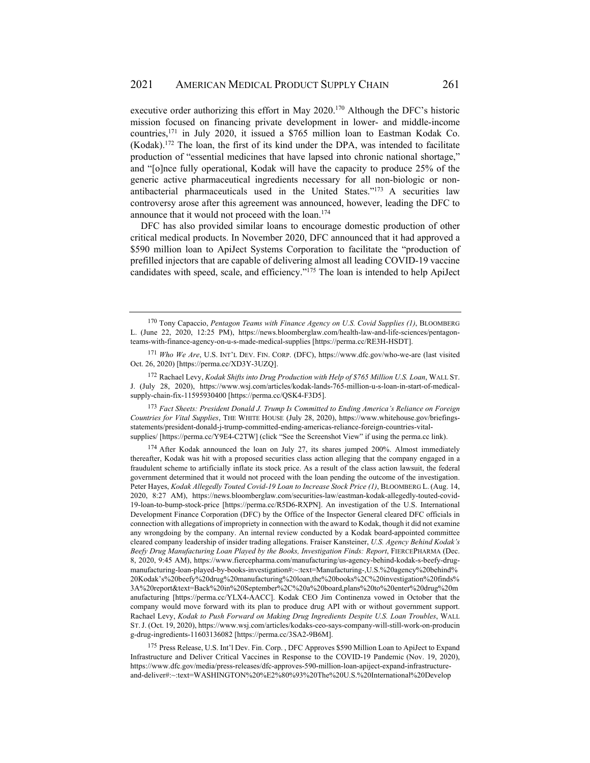executive order authorizing this effort in May 2020.<sup>170</sup> Although the DFC's historic mission focused on financing private development in lower- and middle-income countries,171 in July 2020, it issued a \$765 million loan to Eastman Kodak Co.  $(Kodak).<sup>172</sup>$  The loan, the first of its kind under the DPA, was intended to facilitate production of "essential medicines that have lapsed into chronic national shortage," and "[o]nce fully operational, Kodak will have the capacity to produce 25% of the generic active pharmaceutical ingredients necessary for all non-biologic or nonantibacterial pharmaceuticals used in the United States."173 A securities law controversy arose after this agreement was announced, however, leading the DFC to announce that it would not proceed with the loan.<sup>174</sup>

DFC has also provided similar loans to encourage domestic production of other critical medical products. In November 2020, DFC announced that it had approved a \$590 million loan to ApiJect Systems Corporation to facilitate the "production of prefilled injectors that are capable of delivering almost all leading COVID-19 vaccine candidates with speed, scale, and efficiency."175 The loan is intended to help ApiJect

172 Rachael Levy, *Kodak Shifts into Drug Production with Help of \$765 Million U.S. Loan*, WALL ST. J. (July 28, 2020), https://www.wsj.com/articles/kodak-lands-765-million-u-s-loan-in-start-of-medicalsupply-chain-fix-11595930400 [https://perma.cc/QSK4-F3D5].

<sup>173</sup> *Fact Sheets: President Donald J. Trump Is Committed to Ending America's Reliance on Foreign Countries for Vital Supplies*, THE WHITE HOUSE (July 28, 2020), https://www.whitehouse.gov/briefingsstatements/president-donald-j-trump-committed-ending-americas-reliance-foreign-countries-vitalsupplies/ [https://perma.cc/Y9E4-C2TW] (click "See the Screenshot View" if using the perma.cc link).

174 After Kodak announced the loan on July 27, its shares jumped 200%. Almost immediately thereafter, Kodak was hit with a proposed securities class action alleging that the company engaged in a fraudulent scheme to artificially inflate its stock price. As a result of the class action lawsuit, the federal government determined that it would not proceed with the loan pending the outcome of the investigation. Peter Hayes, *Kodak Allegedly Touted Covid-19 Loan to Increase Stock Price (1)*, BLOOMBERG L. (Aug. 14, 2020, 8:27 AM), https://news.bloomberglaw.com/securities-law/eastman-kodak-allegedly-touted-covid-19-loan-to-bump-stock-price [https://perma.cc/R5D6-RXPN]. An investigation of the U.S. International Development Finance Corporation (DFC) by the Office of the Inspector General cleared DFC officials in connection with allegations of impropriety in connection with the award to Kodak, though it did not examine any wrongdoing by the company. An internal review conducted by a Kodak board-appointed committee cleared company leadership of insider trading allegations. Fraiser Kansteiner, *U.S. Agency Behind Kodak's Beefy Drug Manufacturing Loan Played by the Books, Investigation Finds: Report*, FIERCEPHARMA (Dec. 8, 2020, 9:45 AM), https://www.fiercepharma.com/manufacturing/us-agency-behind-kodak-s-beefy-drugmanufacturing-loan-played-by-books-investigation#:~:text=Manufacturing-,U.S.%20agency%20behind% 20Kodak's%20beefy%20drug%20manufacturing%20loan,the%20books%2C%20investigation%20finds% 3A%20report&text=Back%20in%20September%2C%20a%20board,plans%20to%20enter%20drug%20m anufacturing [https://perma.cc/YLX4-AACC]. Kodak CEO Jim Continenza vowed in October that the company would move forward with its plan to produce drug API with or without government support. Rachael Levy, *Kodak to Push Forward on Making Drug Ingredients Despite U.S. Loan Troubles*, WALL ST.J. (Oct. 19, 2020), https://www.wsj.com/articles/kodaks-ceo-says-company-will-still-work-on-producin g-drug-ingredients-11603136082 [https://perma.cc/3SA2-9B6M].

175 Press Release, U.S. Int'l Dev. Fin. Corp., DFC Approves \$590 Million Loan to ApiJect to Expand Infrastructure and Deliver Critical Vaccines in Response to the COVID-19 Pandemic (Nov. 19, 2020), https://www.dfc.gov/media/press-releases/dfc-approves-590-million-loan-apiject-expand-infrastructureand-deliver#:~:text=WASHINGTON%20%E2%80%93%20The%20U.S.%20International%20Develop

<sup>170</sup> Tony Capaccio, *Pentagon Teams with Finance Agency on U.S. Covid Supplies (1)*, BLOOMBERG L. (June 22, 2020, 12:25 PM), https://news.bloomberglaw.com/health-law-and-life-sciences/pentagonteams-with-finance-agency-on-u-s-made-medical-supplies [https://perma.cc/RE3H-HSDT].

<sup>171</sup> *Who We Are*, U.S. INT'L DEV. FIN. CORP. (DFC), https://www.dfc.gov/who-we-are (last visited Oct. 26, 2020) [https://perma.cc/XD3Y-3UZQ].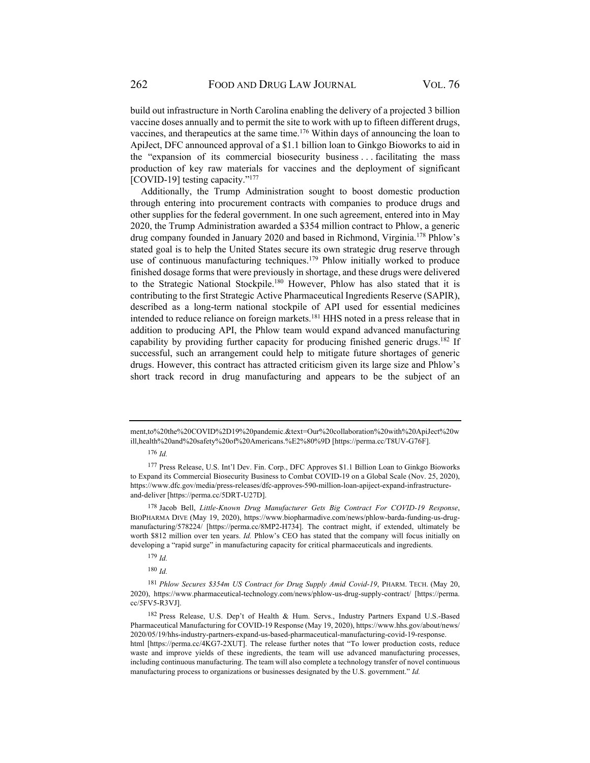build out infrastructure in North Carolina enabling the delivery of a projected 3 billion vaccine doses annually and to permit the site to work with up to fifteen different drugs, vaccines, and therapeutics at the same time.176 Within days of announcing the loan to ApiJect, DFC announced approval of a \$1.1 billion loan to Ginkgo Bioworks to aid in the "expansion of its commercial biosecurity business . . . facilitating the mass production of key raw materials for vaccines and the deployment of significant [COVID-19] testing capacity."<sup>177</sup>

Additionally, the Trump Administration sought to boost domestic production through entering into procurement contracts with companies to produce drugs and other supplies for the federal government. In one such agreement, entered into in May 2020, the Trump Administration awarded a \$354 million contract to Phlow, a generic drug company founded in January 2020 and based in Richmond, Virginia.<sup>178</sup> Phlow's stated goal is to help the United States secure its own strategic drug reserve through use of continuous manufacturing techniques.<sup>179</sup> Phlow initially worked to produce finished dosage forms that were previously in shortage, and these drugs were delivered to the Strategic National Stockpile.<sup>180</sup> However, Phlow has also stated that it is contributing to the first Strategic Active Pharmaceutical Ingredients Reserve (SAPIR), described as a long-term national stockpile of API used for essential medicines intended to reduce reliance on foreign markets.<sup>181</sup> HHS noted in a press release that in addition to producing API, the Phlow team would expand advanced manufacturing capability by providing further capacity for producing finished generic drugs.<sup>182</sup> If successful, such an arrangement could help to mitigate future shortages of generic drugs. However, this contract has attracted criticism given its large size and Phlow's short track record in drug manufacturing and appears to be the subject of an

ment,to%20the%20COVID%2D19%20pandemic.&text=Our%20collaboration%20with%20ApiJect%20w ill,health%20and%20safety%20of%20Americans.%E2%80%9D [https://perma.cc/T8UV-G76F].

<sup>176</sup> *Id.*

<sup>177</sup> Press Release, U.S. Int'l Dev. Fin. Corp., DFC Approves \$1.1 Billion Loan to Ginkgo Bioworks to Expand its Commercial Biosecurity Business to Combat COVID-19 on a Global Scale (Nov. 25, 2020), https://www.dfc.gov/media/press-releases/dfc-approves-590-million-loan-apiject-expand-infrastructureand-deliver [https://perma.cc/5DRT-U27D].

<sup>178</sup> Jacob Bell, *Little-Known Drug Manufacturer Gets Big Contract For COVID-19 Response*, BIOPHARMA DIVE (May 19, 2020), https://www.biopharmadive.com/news/phlow-barda-funding-us-drugmanufacturing/578224/ [https://perma.cc/8MP2-H734]. The contract might, if extended, ultimately be worth \$812 million over ten years. *Id.* Phlow's CEO has stated that the company will focus initially on developing a "rapid surge" in manufacturing capacity for critical pharmaceuticals and ingredients.

<sup>179</sup> *Id.*

<sup>180</sup> *Id.*

<sup>181</sup> *Phlow Secures \$354m US Contract for Drug Supply Amid Covid-19*, PHARM. TECH. (May 20, 2020), https://www.pharmaceutical-technology.com/news/phlow-us-drug-supply-contract/ [https://perma. cc/5FV5-R3VJ].

<sup>182</sup> Press Release, U.S. Dep't of Health & Hum. Servs., Industry Partners Expand U.S.-Based Pharmaceutical Manufacturing for COVID-19 Response (May 19, 2020), https://www.hhs.gov/about/news/ 2020/05/19/hhs-industry-partners-expand-us-based-pharmaceutical-manufacturing-covid-19-response. html [https://perma.cc/4KG7-2XUT]. The release further notes that "To lower production costs, reduce waste and improve yields of these ingredients, the team will use advanced manufacturing processes, including continuous manufacturing. The team will also complete a technology transfer of novel continuous manufacturing process to organizations or businesses designated by the U.S. government." *Id.*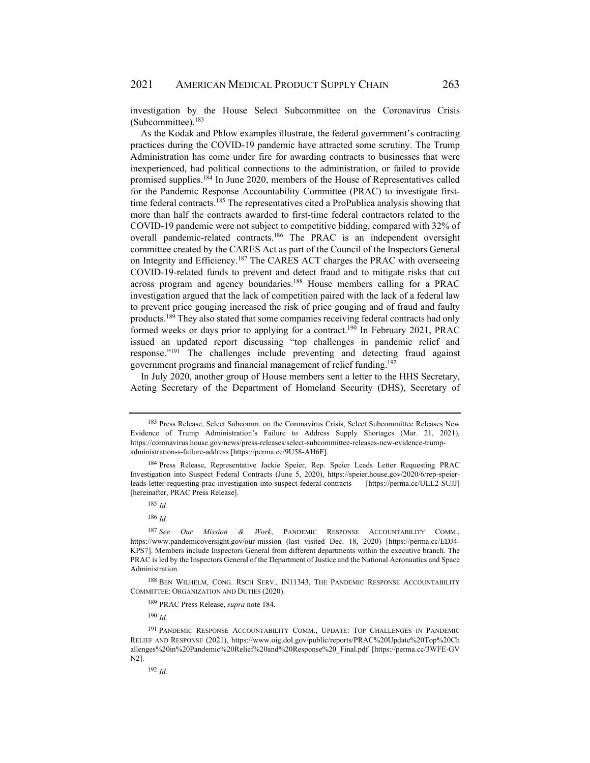investigation by the House Select Subcommittee on the Coronavirus Crisis (Subcommittee). $183$ 

As the Kodak and Phlow examples illustrate, the federal government's contracting practices during the COVID-19 pandemic have attracted some scrutiny. The Trump Administration has come under fire for awarding contracts to businesses that were inexperienced, had political connections to the administration, or failed to provide promised supplies.184 In June 2020, members of the House of Representatives called for the Pandemic Response Accountability Committee (PRAC) to investigate firsttime federal contracts.<sup>185</sup> The representatives cited a ProPublica analysis showing that more than half the contracts awarded to first-time federal contractors related to the COVID-19 pandemic were not subject to competitive bidding, compared with 32% of overall pandemic-related contracts.<sup>186</sup> The PRAC is an independent oversight committee created by the CARES Act as part of the Council of the Inspectors General on Integrity and Efficiency.187 The CARES ACT charges the PRAC with overseeing COVID-19-related funds to prevent and detect fraud and to mitigate risks that cut across program and agency boundaries.<sup>188</sup> House members calling for a PRAC investigation argued that the lack of competition paired with the lack of a federal law to prevent price gouging increased the risk of price gouging and of fraud and faulty products.189 They also stated that some companies receiving federal contracts had only formed weeks or days prior to applying for a contract.<sup>190</sup> In February 2021, PRAC issued an updated report discussing "top challenges in pandemic relief and response."191 The challenges include preventing and detecting fraud against government programs and financial management of relief funding.192

In July 2020, another group of House members sent a letter to the HHS Secretary, Acting Secretary of the Department of Homeland Security (DHS), Secretary of

<sup>183</sup> Press Release, Select Subcomm. on the Coronavirus Crisis, Select Subcommittee Releases New Evidence of Trump Administration's Failure to Address Supply Shortages (Mar. 21, 2021), https://coronavirus.house.gov/news/press-releases/select-subcommittee-releases-new-evidence-trumpadministration-s-failure-address [https://perma.cc/9U58-AH6F].

<sup>184</sup> Press Release, Representative Jackie Speier, Rep. Speier Leads Letter Requesting PRAC Investigation into Suspect Federal Contracts (June 5, 2020), https://speier.house.gov/2020/6/rep-speierleads-letter-requesting-prac-investigation-into-suspect-federal-contracts [https://perma.cc/ULL2-SUJJ] [hereinafter, PRAC Press Release].

<sup>185</sup> *Id.*

<sup>186</sup> *Id.*

<sup>187</sup> *See Our Mission & Work*, PANDEMIC RESPONSE ACCOUNTABILITY COMM., https://www.pandemicoversight.gov/our-mission (last visited Dec. 18, 2020) [https://perma.cc/EDJ4- KPS7]. Members include Inspectors General from different departments within the executive branch. The PRAC is led by the Inspectors General of the Department of Justice and the National Aeronautics and Space Administration.

<sup>188</sup> BEN WILHELM, CONG. RSCH SERV., IN11343, THE PANDEMIC RESPONSE ACCOUNTABILITY COMMITTEE: ORGANIZATION AND DUTIES (2020).

<sup>189</sup> PRAC Press Release, *supra* note 184.

<sup>190</sup> *Id.*

<sup>191</sup> PANDEMIC RESPONSE ACCOUNTABILITY COMM., UPDATE: TOP CHALLENGES IN PANDEMIC RELIEF AND RESPONSE (2021), https://www.oig.dol.gov/public/reports/PRAC%20Update%20Top%20Ch allenges%20in%20Pandemic%20Relief%20and%20Response%20\_Final.pdf [https://perma.cc/3WFE-GV N2].

<sup>192</sup> *Id.*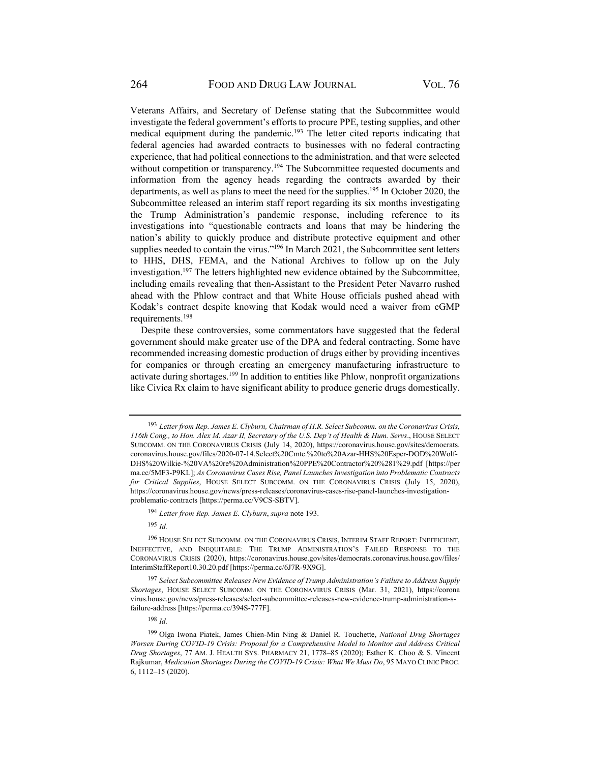Veterans Affairs, and Secretary of Defense stating that the Subcommittee would investigate the federal government's efforts to procure PPE, testing supplies, and other medical equipment during the pandemic.193 The letter cited reports indicating that federal agencies had awarded contracts to businesses with no federal contracting experience, that had political connections to the administration, and that were selected without competition or transparency.<sup>194</sup> The Subcommittee requested documents and information from the agency heads regarding the contracts awarded by their departments, as well as plans to meet the need for the supplies.<sup>195</sup> In October 2020, the Subcommittee released an interim staff report regarding its six months investigating the Trump Administration's pandemic response, including reference to its investigations into "questionable contracts and loans that may be hindering the nation's ability to quickly produce and distribute protective equipment and other supplies needed to contain the virus."<sup>196</sup> In March 2021, the Subcommittee sent letters to HHS, DHS, FEMA, and the National Archives to follow up on the July investigation.197 The letters highlighted new evidence obtained by the Subcommittee, including emails revealing that then-Assistant to the President Peter Navarro rushed ahead with the Phlow contract and that White House officials pushed ahead with Kodak's contract despite knowing that Kodak would need a waiver from cGMP requirements.198

Despite these controversies, some commentators have suggested that the federal government should make greater use of the DPA and federal contracting. Some have recommended increasing domestic production of drugs either by providing incentives for companies or through creating an emergency manufacturing infrastructure to activate during shortages.<sup>199</sup> In addition to entities like Phlow, nonprofit organizations like Civica Rx claim to have significant ability to produce generic drugs domestically.

<sup>195</sup> *Id.*

<sup>193</sup> *Letter from Rep. James E. Clyburn, Chairman of H.R. Select Subcomm. on the Coronavirus Crisis, 116th Cong., to Hon. Alex M. Azar II, Secretary of the U.S. Dep't of Health & Hum. Servs*., HOUSE SELECT SUBCOMM. ON THE CORONAVIRUS CRISIS (July 14, 2020), https://coronavirus.house.gov/sites/democrats. coronavirus.house.gov/files/2020-07-14.Select%20Cmte.%20to%20Azar-HHS%20Esper-DOD%20Wolf-DHS%20Wilkie-%20VA%20re%20Administration%20PPE%20Contractor%20%281%29.pdf [https://per ma.cc/5MF3-P9KL]; *As Coronavirus Cases Rise, Panel Launches Investigation into Problematic Contracts for Critical Supplies*, HOUSE SELECT SUBCOMM. ON THE CORONAVIRUS CRISIS (July 15, 2020), https://coronavirus.house.gov/news/press-releases/coronavirus-cases-rise-panel-launches-investigationproblematic-contracts [https://perma.cc/V9CS-SBTV].

<sup>194</sup> *Letter from Rep. James E. Clyburn*, *supra* note 193.

<sup>196</sup> HOUSE SELECT SUBCOMM. ON THE CORONAVIRUS CRISIS, INTERIM STAFF REPORT: INEFFICIENT, INEFFECTIVE, AND INEQUITABLE: THE TRUMP ADMINISTRATION'S FAILED RESPONSE TO THE CORONAVIRUS CRISIS (2020), https://coronavirus.house.gov/sites/democrats.coronavirus.house.gov/files/ InterimStaffReport10.30.20.pdf [https://perma.cc/6J7R-9X9G].

<sup>197</sup> *Select Subcommittee Releases New Evidence of Trump Administration's Failure to Address Supply Shortages*, HOUSE SELECT SUBCOMM. ON THE CORONAVIRUS CRISIS (Mar. 31, 2021), https://corona virus.house.gov/news/press-releases/select-subcommittee-releases-new-evidence-trump-administration-sfailure-address [https://perma.cc/394S-777F].

<sup>198</sup> *Id.*

<sup>199</sup> Olga Iwona Piatek, James Chien-Min Ning & Daniel R. Touchette, *National Drug Shortages Worsen During COVID-19 Crisis: Proposal for a Comprehensive Model to Monitor and Address Critical Drug Shortages*, 77 AM. J. HEALTH SYS. PHARMACY 21, 1778–85 (2020); Esther K. Choo & S. Vincent Rajkumar, *Medication Shortages During the COVID-19 Crisis: What We Must Do*, 95 MAYO CLINIC PROC. 6, 1112–15 (2020).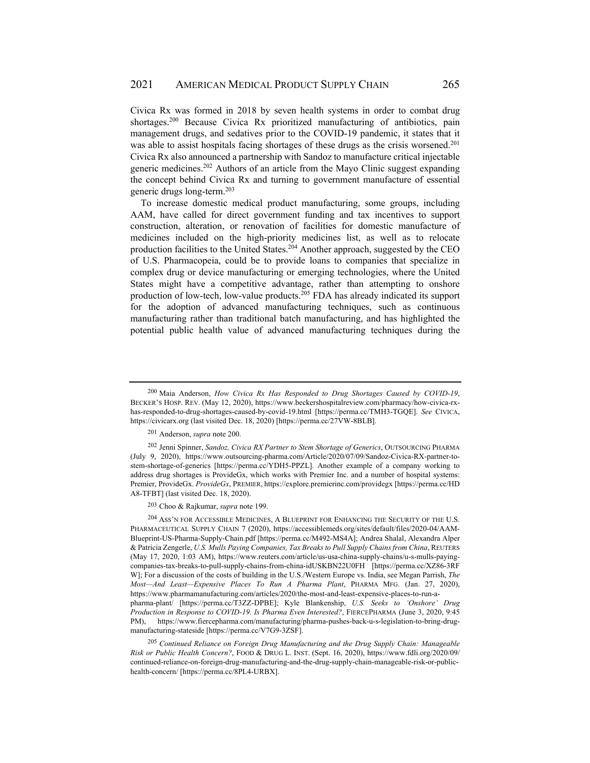Civica Rx was formed in 2018 by seven health systems in order to combat drug shortages.200 Because Civica Rx prioritized manufacturing of antibiotics, pain management drugs, and sedatives prior to the COVID-19 pandemic, it states that it was able to assist hospitals facing shortages of these drugs as the crisis worsened.<sup>201</sup> Civica Rx also announced a partnership with Sandoz to manufacture critical injectable generic medicines.202 Authors of an article from the Mayo Clinic suggest expanding the concept behind Civica Rx and turning to government manufacture of essential generic drugs long-term.203

To increase domestic medical product manufacturing, some groups, including AAM, have called for direct government funding and tax incentives to support construction, alteration, or renovation of facilities for domestic manufacture of medicines included on the high-priority medicines list, as well as to relocate production facilities to the United States.<sup>204</sup> Another approach, suggested by the CEO of U.S. Pharmacopeia, could be to provide loans to companies that specialize in complex drug or device manufacturing or emerging technologies, where the United States might have a competitive advantage, rather than attempting to onshore production of low-tech, low-value products.205 FDA has already indicated its support for the adoption of advanced manufacturing techniques, such as continuous manufacturing rather than traditional batch manufacturing, and has highlighted the potential public health value of advanced manufacturing techniques during the

203 Choo & Rajkumar, *supra* note 199.

<sup>204</sup> ASS'N FOR ACCESSIBLE MEDICINES, A BLUEPRINT FOR ENHANCING THE SECURITY OF THE U.S. PHARMACEUTICAL SUPPLY CHAIN 7 (2020), https://accessiblemeds.org/sites/default/files/2020-04/AAM-Blueprint-US-Pharma-Supply-Chain.pdf [https://perma.cc/M492-MS4A]; Andrea Shalal, Alexandra Alper & Patricia Zengerle, *U.S. Mulls Paying Companies, Tax Breaks to Pull Supply Chains from China*, REUTERS (May 17, 2020, 1:03 AM), https://www.reuters.com/article/us-usa-china-supply-chains/u-s-mulls-payingcompanies-tax-breaks-to-pull-supply-chains-from-china-idUSKBN22U0FH [https://perma.cc/XZ86-3RF W]; For a discussion of the costs of building in the U.S./Western Europe vs. India, see Megan Parrish, *The Most—And Least—Expensive Places To Run A Pharma Plant*, PHARMA MFG. (Jan. 27, 2020), https://www.pharmamanufacturing.com/articles/2020/the-most-and-least-expensive-places-to-run-apharma-plant/ [https://perma.cc/T3ZZ-DPBE]; Kyle Blankenship, *U.S. Seeks to 'Onshore' Drug Production in Response to COVID-19. Is Pharma Even Interested?*, FIERCEPHARMA (June 3, 2020, 9:45 PM), https://www.fiercepharma.com/manufacturing/pharma-pushes-back-u-s-legislation-to-bring-drug-

manufacturing-stateside [https://perma.cc/V7G9-3ZSF].

<sup>205</sup> *Continued Reliance on Foreign Drug Manufacturing and the Drug Supply Chain: Manageable Risk or Public Health Concern?*, FOOD & DRUG L. INST. (Sept. 16, 2020), https://www.fdli.org/2020/09/ continued-reliance-on-foreign-drug-manufacturing-and-the-drug-supply-chain-manageable-risk-or-publichealth-concern/ [https://perma.cc/8PL4-URBX].

<sup>200</sup> Maia Anderson, *How Civica Rx Has Responded to Drug Shortages Caused by COVID-19*, BECKER'S HOSP. REV. (May 12, 2020), https://www.beckershospitalreview.com/pharmacy/how-civica-rxhas-responded-to-drug-shortages-caused-by-covid-19.html [https://perma.cc/TMH3-TGQE]. *See* CIVICA, https://civicarx.org (last visited Dec. 18, 2020) [https://perma.cc/27VW-8BLB].

<sup>201</sup> Anderson, *supra* note 200.

<sup>202</sup> Jenni Spinner, *Sandoz, Civica RX Partner to Stem Shortage of Generics*, OUTSOURCING PHARMA (July 9, 2020), https://www.outsourcing-pharma.com/Article/2020/07/09/Sandoz-Civica-RX-partner-tostem-shortage-of-generics [https://perma.cc/YDH5-PPZL]. Another example of a company working to address drug shortages is ProvideGx, which works with Premier Inc. and a number of hospital systems: Premier, ProvideGx. *ProvideGx*, PREMIER, https://explore.premierinc.com/providegx [https://perma.cc/HD A8-TFBT] (last visited Dec. 18, 2020).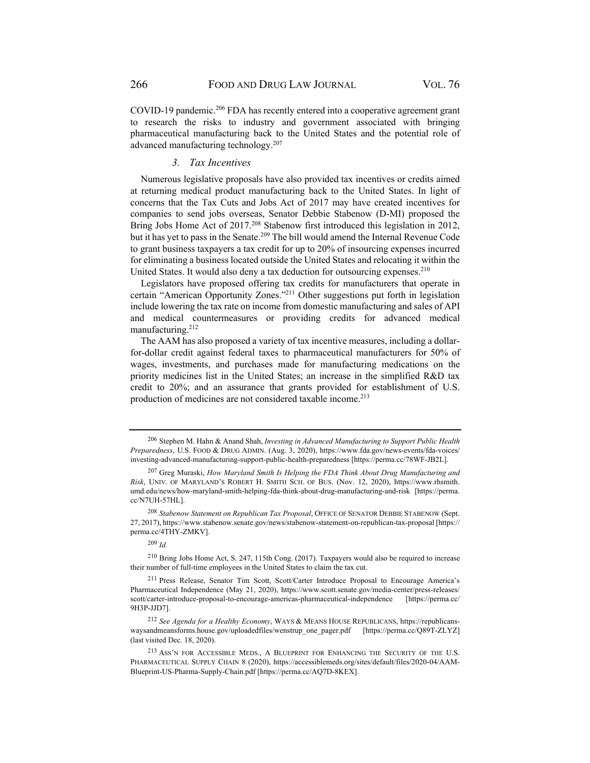COVID-19 pandemic.206 FDA has recently entered into a cooperative agreement grant to research the risks to industry and government associated with bringing pharmaceutical manufacturing back to the United States and the potential role of advanced manufacturing technology.207

#### *3. Tax Incentives*

Numerous legislative proposals have also provided tax incentives or credits aimed at returning medical product manufacturing back to the United States. In light of concerns that the Tax Cuts and Jobs Act of 2017 may have created incentives for companies to send jobs overseas, Senator Debbie Stabenow (D-MI) proposed the Bring Jobs Home Act of 2017.<sup>208</sup> Stabenow first introduced this legislation in 2012, but it has yet to pass in the Senate.<sup>209</sup> The bill would amend the Internal Revenue Code to grant business taxpayers a tax credit for up to 20% of insourcing expenses incurred for eliminating a business located outside the United States and relocating it within the United States. It would also deny a tax deduction for outsourcing expenses.<sup>210</sup>

Legislators have proposed offering tax credits for manufacturers that operate in certain "American Opportunity Zones."211 Other suggestions put forth in legislation include lowering the tax rate on income from domestic manufacturing and sales of API and medical countermeasures or providing credits for advanced medical manufacturing.212

The AAM has also proposed a variety of tax incentive measures, including a dollarfor-dollar credit against federal taxes to pharmaceutical manufacturers for 50% of wages, investments, and purchases made for manufacturing medications on the priority medicines list in the United States; an increase in the simplified R&D tax credit to 20%; and an assurance that grants provided for establishment of U.S. production of medicines are not considered taxable income.<sup>213</sup>

<sup>206</sup> Stephen M. Hahn & Anand Shah, *Investing in Advanced Manufacturing to Support Public Health Preparedness*, U.S. FOOD & DRUG ADMIN. (Aug. 3, 2020), https://www.fda.gov/news-events/fda-voices/ investing-advanced-manufacturing-support-public-health-preparedness [https://perma.cc/78WF-JB2L].

<sup>207</sup> Greg Muraski, *How Maryland Smith Is Helping the FDA Think About Drug Manufacturing and Risk*, UNIV. OF MARYLAND'S ROBERT H. SMITH SCH. OF BUS. (Nov. 12, 2020), https://www.rhsmith. umd.edu/news/how-maryland-smith-helping-fda-think-about-drug-manufacturing-and-risk [https://perma. cc/N7UH-57HL].

<sup>208</sup> *Stabenow Statement on Republican Tax Proposal*, OFFICE OF SENATOR DEBBIE STABENOW (Sept. 27, 2017), https://www.stabenow.senate.gov/news/stabenow-statement-on-republican-tax-proposal [https:// perma.cc/4THY-ZMKV].

<sup>209</sup> *Id.*

<sup>210</sup> Bring Jobs Home Act, S. 247, 115th Cong. (2017). Taxpayers would also be required to increase their number of full-time employees in the United States to claim the tax cut.

<sup>211</sup> Press Release, Senator Tim Scott, Scott/Carter Introduce Proposal to Encourage America's Pharmaceutical Independence (May 21, 2020), https://www.scott.senate.gov/media-center/press-releases/ scott/carter-introduce-proposal-to-encourage-americas-pharmaceutical-independence [https://perma.cc/ 9H3P-JJD7].

<sup>212</sup> *See Agenda for a Healthy Economy*, WAYS & MEANS HOUSE REPUBLICANS, https://republicanswaysandmeansforms.house.gov/uploadedfiles/wenstrup\_one\_pager.pdf [https://perma.cc/Q89T-ZLYZ] (last visited Dec. 18, 2020).

<sup>213</sup> ASS'N FOR ACCESSIBLE MEDS., A BLUEPRINT FOR ENHANCING THE SECURITY OF THE U.S. PHARMACEUTICAL SUPPLY CHAIN 8 (2020), https://accessiblemeds.org/sites/default/files/2020-04/AAM-Blueprint-US-Pharma-Supply-Chain.pdf [https://perma.cc/AQ7D-8KEX].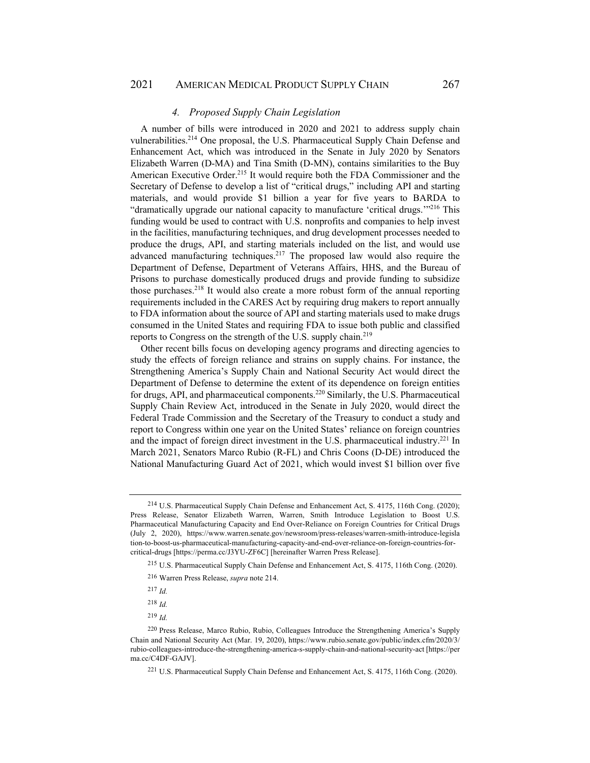### 2021 AMERICAN MEDICAL PRODUCT SUPPLY CHAIN 267

### *4. Proposed Supply Chain Legislation*

A number of bills were introduced in 2020 and 2021 to address supply chain vulnerabilities.214 One proposal, the U.S. Pharmaceutical Supply Chain Defense and Enhancement Act, which was introduced in the Senate in July 2020 by Senators Elizabeth Warren (D-MA) and Tina Smith (D-MN), contains similarities to the Buy American Executive Order.215 It would require both the FDA Commissioner and the Secretary of Defense to develop a list of "critical drugs," including API and starting materials, and would provide \$1 billion a year for five years to BARDA to "dramatically upgrade our national capacity to manufacture 'critical drugs.'"216 This funding would be used to contract with U.S. nonprofits and companies to help invest in the facilities, manufacturing techniques, and drug development processes needed to produce the drugs, API, and starting materials included on the list, and would use advanced manufacturing techniques.<sup>217</sup> The proposed law would also require the Department of Defense, Department of Veterans Affairs, HHS, and the Bureau of Prisons to purchase domestically produced drugs and provide funding to subsidize those purchases.218 It would also create a more robust form of the annual reporting requirements included in the CARES Act by requiring drug makers to report annually to FDA information about the source of API and starting materials used to make drugs consumed in the United States and requiring FDA to issue both public and classified reports to Congress on the strength of the U.S. supply chain.<sup>219</sup>

Other recent bills focus on developing agency programs and directing agencies to study the effects of foreign reliance and strains on supply chains. For instance, the Strengthening America's Supply Chain and National Security Act would direct the Department of Defense to determine the extent of its dependence on foreign entities for drugs, API, and pharmaceutical components.220 Similarly, the U.S. Pharmaceutical Supply Chain Review Act, introduced in the Senate in July 2020, would direct the Federal Trade Commission and the Secretary of the Treasury to conduct a study and report to Congress within one year on the United States' reliance on foreign countries and the impact of foreign direct investment in the U.S. pharmaceutical industry.221 In March 2021, Senators Marco Rubio (R-FL) and Chris Coons (D-DE) introduced the National Manufacturing Guard Act of 2021, which would invest \$1 billion over five

<sup>214</sup> U.S. Pharmaceutical Supply Chain Defense and Enhancement Act, S. 4175, 116th Cong. (2020); Press Release, Senator Elizabeth Warren, Warren, Smith Introduce Legislation to Boost U.S. Pharmaceutical Manufacturing Capacity and End Over-Reliance on Foreign Countries for Critical Drugs (July 2, 2020), https://www.warren.senate.gov/newsroom/press-releases/warren-smith-introduce-legisla tion-to-boost-us-pharmaceutical-manufacturing-capacity-and-end-over-reliance-on-foreign-countries-forcritical-drugs [https://perma.cc/J3YU-ZF6C] [hereinafter Warren Press Release].

<sup>215</sup> U.S. Pharmaceutical Supply Chain Defense and Enhancement Act, S. 4175, 116th Cong. (2020).

<sup>216</sup> Warren Press Release, *supra* note 214.

<sup>217</sup> *Id.*

<sup>218</sup> *Id.*

<sup>219</sup> *Id.*

<sup>220</sup> Press Release, Marco Rubio, Rubio, Colleagues Introduce the Strengthening America's Supply Chain and National Security Act (Mar. 19, 2020), https://www.rubio.senate.gov/public/index.cfm/2020/3/ rubio-colleagues-introduce-the-strengthening-america-s-supply-chain-and-national-security-act [https://per ma.cc/C4DF-GAJV].

<sup>221</sup> U.S. Pharmaceutical Supply Chain Defense and Enhancement Act, S. 4175, 116th Cong. (2020).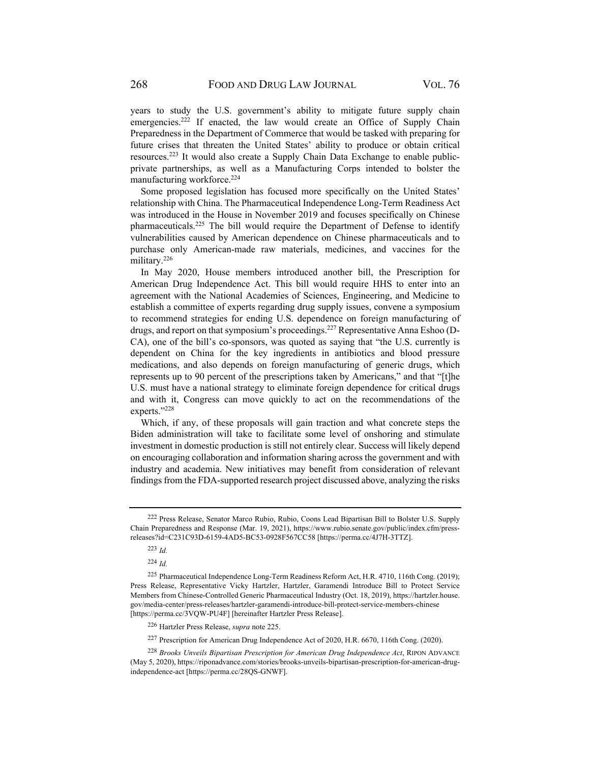years to study the U.S. government's ability to mitigate future supply chain emergencies.<sup>222</sup> If enacted, the law would create an Office of Supply Chain Preparedness in the Department of Commerce that would be tasked with preparing for future crises that threaten the United States' ability to produce or obtain critical resources.223 It would also create a Supply Chain Data Exchange to enable publicprivate partnerships, as well as a Manufacturing Corps intended to bolster the manufacturing workforce.224

Some proposed legislation has focused more specifically on the United States' relationship with China. The Pharmaceutical Independence Long-Term Readiness Act was introduced in the House in November 2019 and focuses specifically on Chinese pharmaceuticals.225 The bill would require the Department of Defense to identify vulnerabilities caused by American dependence on Chinese pharmaceuticals and to purchase only American-made raw materials, medicines, and vaccines for the military.226

In May 2020, House members introduced another bill, the Prescription for American Drug Independence Act. This bill would require HHS to enter into an agreement with the National Academies of Sciences, Engineering, and Medicine to establish a committee of experts regarding drug supply issues, convene a symposium to recommend strategies for ending U.S. dependence on foreign manufacturing of drugs, and report on that symposium's proceedings.227 Representative Anna Eshoo (D-CA), one of the bill's co-sponsors, was quoted as saying that "the U.S. currently is dependent on China for the key ingredients in antibiotics and blood pressure medications, and also depends on foreign manufacturing of generic drugs, which represents up to 90 percent of the prescriptions taken by Americans," and that "[t]he U.S. must have a national strategy to eliminate foreign dependence for critical drugs and with it, Congress can move quickly to act on the recommendations of the experts."228

Which, if any, of these proposals will gain traction and what concrete steps the Biden administration will take to facilitate some level of onshoring and stimulate investment in domestic production is still not entirely clear. Success will likely depend on encouraging collaboration and information sharing across the government and with industry and academia. New initiatives may benefit from consideration of relevant findings from the FDA-supported research project discussed above, analyzing the risks

<sup>222</sup> Press Release, Senator Marco Rubio, Rubio, Coons Lead Bipartisan Bill to Bolster U.S. Supply Chain Preparedness and Response (Mar. 19, 2021), https://www.rubio.senate.gov/public/index.cfm/pressreleases?id=C231C93D-6159-4AD5-BC53-0928F567CC58 [https://perma.cc/4J7H-3TTZ].

<sup>223</sup> *Id.*

<sup>224</sup> *Id.*

<sup>225</sup> Pharmaceutical Independence Long-Term Readiness Reform Act, H.R. 4710, 116th Cong. (2019); Press Release, Representative Vicky Hartzler, Hartzler, Garamendi Introduce Bill to Protect Service Members from Chinese-Controlled Generic Pharmaceutical Industry (Oct. 18, 2019), https://hartzler.house. gov/media-center/press-releases/hartzler-garamendi-introduce-bill-protect-service-members-chinese [https://perma.cc/3VQW-PU4F] [hereinafter Hartzler Press Release].

<sup>226</sup> Hartzler Press Release, *supra* note 225.

<sup>227</sup> Prescription for American Drug Independence Act of 2020, H.R. 6670, 116th Cong. (2020).

<sup>228</sup> *Brooks Unveils Bipartisan Prescription for American Drug Independence Act*, RIPON ADVANCE (May 5, 2020), https://riponadvance.com/stories/brooks-unveils-bipartisan-prescription-for-american-drugindependence-act [https://perma.cc/28QS-GNWF].